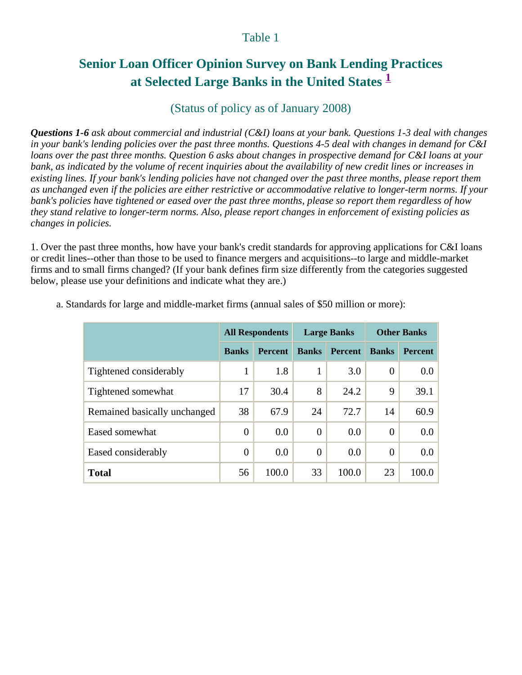#### Table 1

# **Senior Loan Officer Opinion Survey on Bank Lending Practices at Selected Large Banks in the United States <sup>1</sup>**

## (Status of policy as of January 2008)

*Questions 1-6 ask about commercial and industrial (C&I) loans at your bank. Questions 1-3 deal with changes in your bank's lending policies over the past three months. Questions 4-5 deal with changes in demand for C&I loans over the past three months. Question 6 asks about changes in prospective demand for C&I loans at your bank, as indicated by the volume of recent inquiries about the availability of new credit lines or increases in existing lines. If your bank's lending policies have not changed over the past three months, please report them as unchanged even if the policies are either restrictive or accommodative relative to longer-term norms. If your bank's policies have tightened or eased over the past three months, please so report them regardless of how they stand relative to longer-term norms. Also, please report changes in enforcement of existing policies as changes in policies.* 

1. Over the past three months, how have your bank's credit standards for approving applications for C&I loans or credit lines--other than those to be used to finance mergers and acquisitions--to large and middle-market firms and to small firms changed? (If your bank defines firm size differently from the categories suggested below, please use your definitions and indicate what they are.)

|                              | <b>All Respondents</b> |                | <b>Large Banks</b> |                | <b>Other Banks</b> |                |
|------------------------------|------------------------|----------------|--------------------|----------------|--------------------|----------------|
|                              | <b>Banks</b>           | <b>Percent</b> | <b>Banks</b>       | <b>Percent</b> | <b>Banks</b>       | <b>Percent</b> |
| Tightened considerably       | 1                      | 1.8            | 1                  | 3.0            | $\theta$           | 0.0            |
| Tightened somewhat           | 17                     | 30.4           | 8                  | 24.2           | 9                  | 39.1           |
| Remained basically unchanged | 38                     | 67.9           | 24                 | 72.7           | 14                 | 60.9           |
| Eased somewhat               | $\overline{0}$         | 0.0            | $\overline{0}$     | 0.0            | $\theta$           | 0.0            |
| Eased considerably           | 0                      | 0.0            | $\overline{0}$     | 0.0            | $\Omega$           | 0.0            |
| <b>Total</b>                 | 56                     | 100.0          | 33                 | 100.0          | 23                 | 100.0          |

a. Standards for large and middle-market firms (annual sales of \$50 million or more):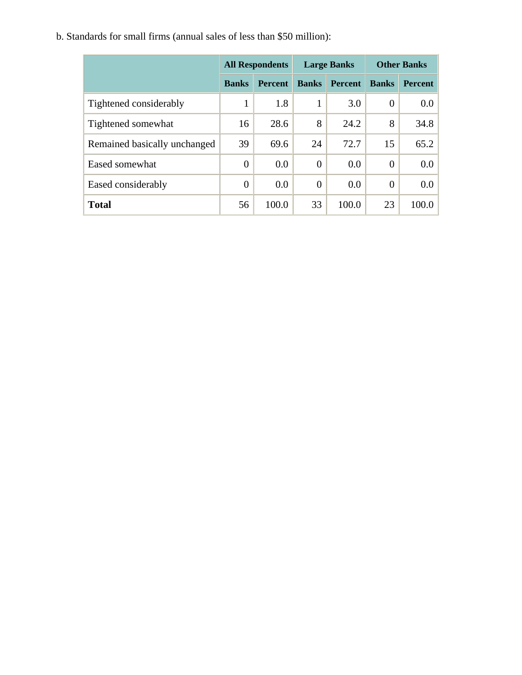|                              | <b>All Respondents</b> |                | <b>Large Banks</b> |                | <b>Other Banks</b> |                |
|------------------------------|------------------------|----------------|--------------------|----------------|--------------------|----------------|
|                              | <b>Banks</b>           | <b>Percent</b> | <b>Banks</b>       | <b>Percent</b> | <b>Banks</b>       | <b>Percent</b> |
| Tightened considerably       |                        | 1.8            |                    | 3.0            | $\overline{0}$     | $0.0\,$        |
| Tightened somewhat           | 16                     | 28.6           | 8                  | 24.2           | 8                  | 34.8           |
| Remained basically unchanged | 39                     | 69.6           | 24                 | 72.7           | 15                 | 65.2           |
| Eased somewhat               | $\overline{0}$         | 0.0            | $\overline{0}$     | 0.0            | $\overline{0}$     | 0.0            |
| Eased considerably           | $\theta$               | 0.0            | $\theta$           | 0.0            | $\overline{0}$     | 0.0            |
| <b>Total</b>                 | 56                     | 100.0          | 33                 | 100.0          | 23                 | 100.0          |

b. Standards for small firms (annual sales of less than \$50 million):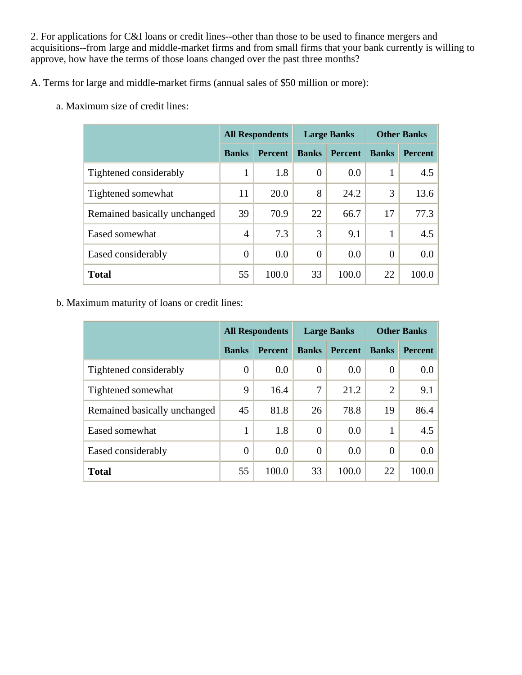2. For applications for C&I loans or credit lines--other than those to be used to finance mergers and acquisitions--from large and middle-market firms and from small firms that your bank currently is willing to approve, how have the terms of those loans changed over the past three months?

A. Terms for large and middle-market firms (annual sales of \$50 million or more):

a. Maximum size of credit lines:

|                              |                | <b>All Respondents</b> | <b>Large Banks</b> |                | <b>Other Banks</b> |                |
|------------------------------|----------------|------------------------|--------------------|----------------|--------------------|----------------|
|                              | <b>Banks</b>   | <b>Percent</b>         | <b>Banks</b>       | <b>Percent</b> | <b>Banks</b>       | <b>Percent</b> |
| Tightened considerably       | 1              | 1.8                    | $\overline{0}$     | 0.0            | 1                  | 4.5            |
| Tightened somewhat           | 11             | 20.0                   | 8                  | 24.2           | 3                  | 13.6           |
| Remained basically unchanged | 39             | 70.9                   | 22                 | 66.7           | 17                 | 77.3           |
| Eased somewhat               | $\overline{4}$ | 7.3                    | 3                  | 9.1            | 1                  | 4.5            |
| Eased considerably           | 0              | 0.0                    | $\Omega$           | 0.0            | $\theta$           | 0.0            |
| <b>Total</b>                 | 55             | 100.0                  | 33                 | 100.0          | 22                 | 100.0          |

b. Maximum maturity of loans or credit lines:

|                              | <b>All Respondents</b> |                |                | <b>Large Banks</b> | <b>Other Banks</b> |                |
|------------------------------|------------------------|----------------|----------------|--------------------|--------------------|----------------|
|                              | <b>Banks</b>           | <b>Percent</b> | <b>Banks</b>   | <b>Percent</b>     | <b>Banks</b>       | <b>Percent</b> |
| Tightened considerably       | $\overline{0}$         | 0.0            | $\overline{0}$ | 0.0                | $\overline{0}$     | 0.0            |
| Tightened somewhat           | 9                      | 16.4           | 7              | 21.2               | 2                  | 9.1            |
| Remained basically unchanged | 45                     | 81.8           | 26             | 78.8               | 19                 | 86.4           |
| Eased somewhat               | 1                      | 1.8            | $\overline{0}$ | 0.0                |                    | 4.5            |
| Eased considerably           | $\overline{0}$         | 0.0            | $\overline{0}$ | 0.0                | $\overline{0}$     | 0.0            |
| <b>Total</b>                 | 55                     | 100.0          | 33             | 100.0              | 22                 | 100.0          |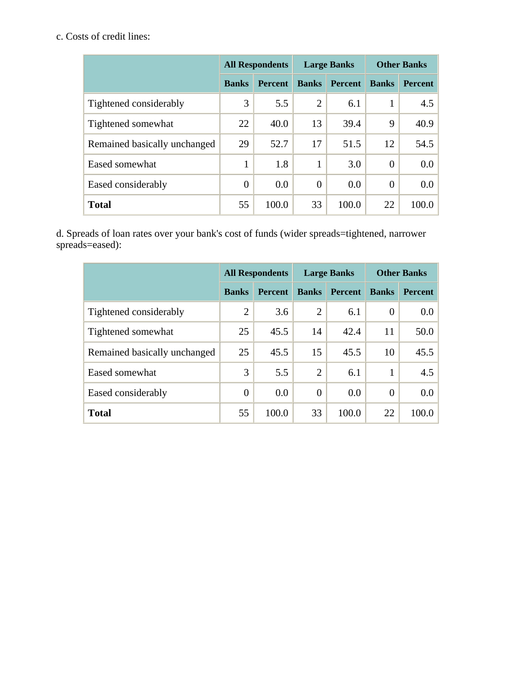## c. Costs of credit lines:

|                              | <b>All Respondents</b> |                | <b>Large Banks</b> |                | <b>Other Banks</b> |                  |
|------------------------------|------------------------|----------------|--------------------|----------------|--------------------|------------------|
|                              | <b>Banks</b>           | <b>Percent</b> | <b>Banks</b>       | <b>Percent</b> | <b>Banks</b>       | <b>Percent</b>   |
| Tightened considerably       | 3                      | 5.5            | 2                  | 6.1            |                    | 4.5              |
| Tightened somewhat           | 22                     | 40.0           | 13                 | 39.4           | 9                  | 40.9             |
| Remained basically unchanged | 29                     | 52.7           | 17                 | 51.5           | 12                 | 54.5             |
| Eased somewhat               | 1                      | 1.8            | 1                  | 3.0            | $\theta$           | 0.0 <sub>1</sub> |
| Eased considerably           | $\overline{0}$         | 0.0            | $\overline{0}$     | 0.0            | $\theta$           | 0.0 <sub>1</sub> |
| <b>Total</b>                 | 55                     | 100.0          | 33                 | 100.0          | 22                 | 100.0            |

d. Spreads of loan rates over your bank's cost of funds (wider spreads=tightened, narrower spreads=eased):

|                              | <b>All Respondents</b> |                | <b>Large Banks</b> |                | <b>Other Banks</b> |                |
|------------------------------|------------------------|----------------|--------------------|----------------|--------------------|----------------|
|                              | <b>Banks</b>           | <b>Percent</b> | <b>Banks</b>       | <b>Percent</b> | <b>Banks</b>       | <b>Percent</b> |
| Tightened considerably       | $\overline{2}$         | 3.6            | $\overline{2}$     | 6.1            | $\overline{0}$     | 0.0            |
| Tightened somewhat           | 25                     | 45.5           | 14                 | 42.4           | 11                 | 50.0           |
| Remained basically unchanged | 25                     | 45.5           | 15                 | 45.5           | 10                 | 45.5           |
| Eased somewhat               | 3                      | 5.5            | $\overline{2}$     | 6.1            |                    | 4.5            |
| Eased considerably           | $\overline{0}$         | 0.0            | $\theta$           | 0.0            | $\theta$           | 0.0            |
| <b>Total</b>                 | 55                     | 100.0          | 33                 | 100.0          | 22                 | 100.0          |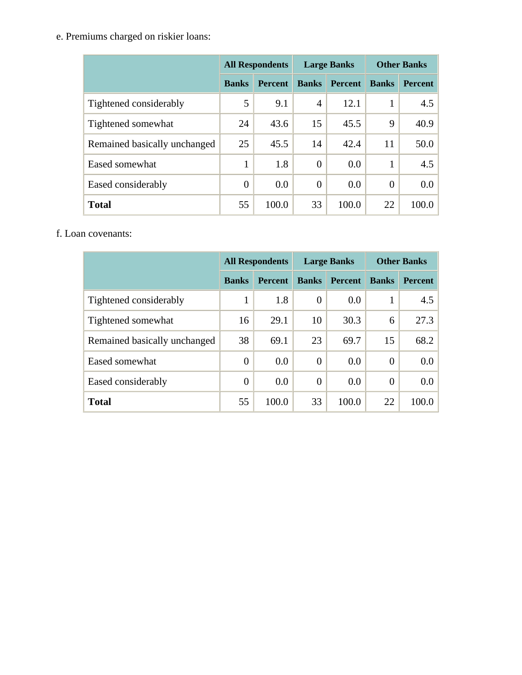e. Premiums charged on riskier loans:

|                              | <b>All Respondents</b> |                |                | <b>Large Banks</b> | <b>Other Banks</b> |                |
|------------------------------|------------------------|----------------|----------------|--------------------|--------------------|----------------|
|                              | <b>Banks</b>           | <b>Percent</b> | <b>Banks</b>   | <b>Percent</b>     | <b>Banks</b>       | <b>Percent</b> |
| Tightened considerably       | 5                      | 9.1            | 4              | 12.1               |                    | 4.5            |
| Tightened somewhat           | 24                     | 43.6           | 15             | 45.5               | 9                  | 40.9           |
| Remained basically unchanged | 25                     | 45.5           | 14             | 42.4               | 11                 | 50.0           |
| Eased somewhat               | 1                      | 1.8            | $\theta$       | 0.0                |                    | 4.5            |
| Eased considerably           | $\overline{0}$         | 0.0            | $\overline{0}$ | 0.0                | $\theta$           | 0.0            |
| <b>Total</b>                 | 55                     | 100.0          | 33             | 100.0              | 22                 | 100.0          |

f. Loan covenants:

|                              | <b>All Respondents</b> |                | <b>Large Banks</b> |                | <b>Other Banks</b> |                |
|------------------------------|------------------------|----------------|--------------------|----------------|--------------------|----------------|
|                              | <b>Banks</b>           | <b>Percent</b> | <b>Banks</b>       | <b>Percent</b> | <b>Banks</b>       | <b>Percent</b> |
| Tightened considerably       | 1                      | 1.8            | $\theta$           | 0.0            |                    | 4.5            |
| Tightened somewhat           | 16                     | 29.1           | 10                 | 30.3           | 6                  | 27.3           |
| Remained basically unchanged | 38                     | 69.1           | 23                 | 69.7           | 15                 | 68.2           |
| Eased somewhat               | $\overline{0}$         | 0.0            | $\theta$           | 0.0            | $\overline{0}$     | 0.0            |
| Eased considerably           | $\theta$               | 0.0            | $\overline{0}$     | 0.0            | $\theta$           | 0.0            |
| <b>Total</b>                 | 55                     | 100.0          | 33                 | 100.0          | 22                 | 100.0          |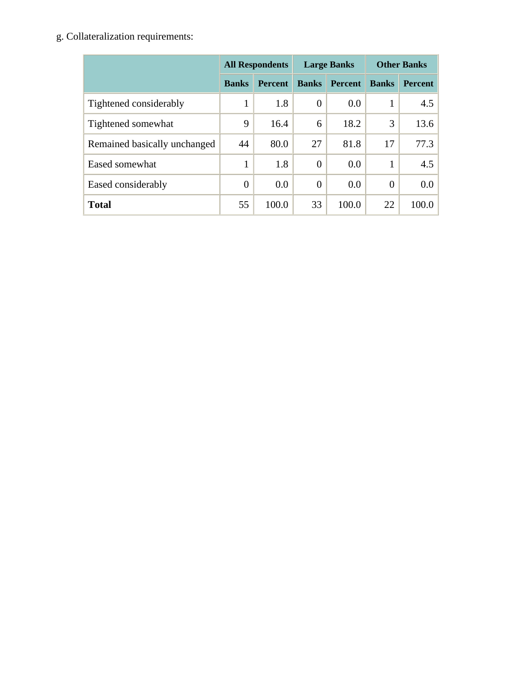g. Collateralization requirements:

|                              | <b>All Respondents</b> |                | <b>Large Banks</b> |                | <b>Other Banks</b> |                |
|------------------------------|------------------------|----------------|--------------------|----------------|--------------------|----------------|
|                              | <b>Banks</b>           | <b>Percent</b> | <b>Banks</b>       | <b>Percent</b> | <b>Banks</b>       | <b>Percent</b> |
| Tightened considerably       | 1                      | 1.8            | $\overline{0}$     | 0.0            |                    | 4.5            |
| Tightened somewhat           | 9                      | 16.4           | 6                  | 18.2           | 3                  | 13.6           |
| Remained basically unchanged | 44                     | 80.0           | 27                 | 81.8           | 17                 | 77.3           |
| Eased somewhat               | 1                      | 1.8            | $\overline{0}$     | 0.0            |                    | 4.5            |
| Eased considerably           | $\overline{0}$         | 0.0            | $\theta$           | 0.0            | $\overline{0}$     | 0.0            |
| <b>Total</b>                 | 55                     | 100.0          | 33                 | 100.0          | 22                 | 100.0          |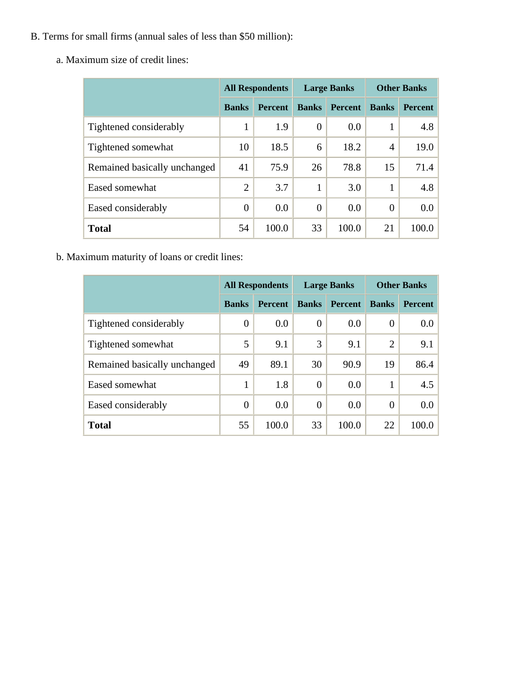- B. Terms for small firms (annual sales of less than \$50 million):
	- a. Maximum size of credit lines:

|                              | <b>All Respondents</b> |                |              | <b>Large Banks</b> | <b>Other Banks</b> |                |  |
|------------------------------|------------------------|----------------|--------------|--------------------|--------------------|----------------|--|
|                              | <b>Banks</b>           | <b>Percent</b> | <b>Banks</b> | <b>Percent</b>     | <b>Banks</b>       | <b>Percent</b> |  |
| Tightened considerably       | 1                      | 1.9            | $\theta$     | 0.0                |                    | 4.8            |  |
| Tightened somewhat           | 10                     | 18.5           | 6            | 18.2               | $\overline{4}$     | 19.0           |  |
| Remained basically unchanged | 41                     | 75.9           | 26           | 78.8               | 15                 | 71.4           |  |
| Eased somewhat               | $\overline{2}$         | 3.7            |              | 3.0                |                    | 4.8            |  |
| Eased considerably           | $\overline{0}$         | 0.0            | $\Omega$     | 0.0                | 0                  | 0.0            |  |
| <b>Total</b>                 | 54                     | 100.0          | 33           | 100.0              | 21                 | 100.0          |  |

b. Maximum maturity of loans or credit lines:

|                              | <b>All Respondents</b> |                | <b>Large Banks</b> |                | <b>Other Banks</b> |                |
|------------------------------|------------------------|----------------|--------------------|----------------|--------------------|----------------|
|                              | <b>Banks</b>           | <b>Percent</b> | <b>Banks</b>       | <b>Percent</b> | <b>Banks</b>       | <b>Percent</b> |
| Tightened considerably       | $\theta$               | 0.0            | $\overline{0}$     | 0.0            | 0                  | $0.0\,$        |
| Tightened somewhat           | 5                      | 9.1            | 3                  | 9.1            | $\overline{2}$     | 9.1            |
| Remained basically unchanged | 49                     | 89.1           | 30                 | 90.9           | 19                 | 86.4           |
| Eased somewhat               |                        | 1.8            | $\overline{0}$     | 0.0            |                    | 4.5            |
| Eased considerably           | $\overline{0}$         | 0.0            | $\overline{0}$     | 0.0            | $\overline{0}$     | 0.0            |
| <b>Total</b>                 | 55                     | 100.0          | 33                 | 100.0          | 22                 | 100.0          |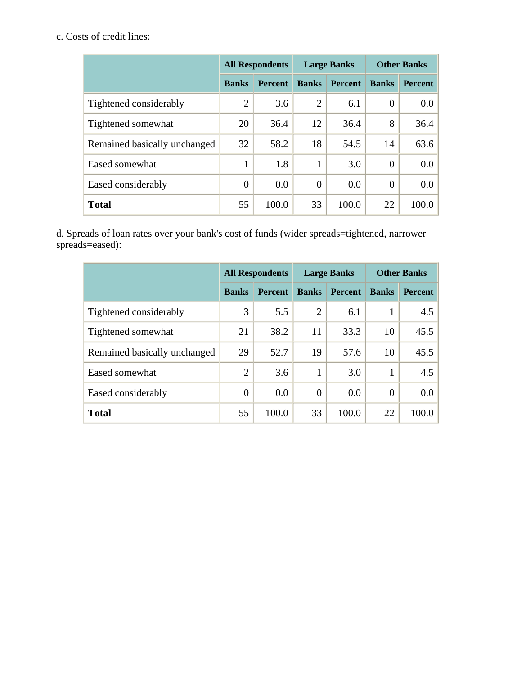## c. Costs of credit lines:

|                              | <b>All Respondents</b> |                | <b>Large Banks</b> |                | <b>Other Banks</b> |                  |
|------------------------------|------------------------|----------------|--------------------|----------------|--------------------|------------------|
|                              | <b>Banks</b>           | <b>Percent</b> | <b>Banks</b>       | <b>Percent</b> | <b>Banks</b>       | <b>Percent</b>   |
| Tightened considerably       | $\overline{2}$         | 3.6            | 2                  | 6.1            | $\theta$           | 0.0 <sub>1</sub> |
| Tightened somewhat           | 20                     | 36.4           | 12                 | 36.4           | 8                  | 36.4             |
| Remained basically unchanged | 32                     | 58.2           | 18                 | 54.5           | 14                 | 63.6             |
| Eased somewhat               | 1                      | 1.8            | 1                  | 3.0            | $\theta$           | 0.0 <sub>1</sub> |
| Eased considerably           | $\overline{0}$         | 0.0            | $\overline{0}$     | 0.0            | $\theta$           | 0.0 <sub>1</sub> |
| <b>Total</b>                 | 55                     | 100.0          | 33                 | 100.0          | 22                 | 100.0            |

d. Spreads of loan rates over your bank's cost of funds (wider spreads=tightened, narrower spreads=eased):

|                              | <b>All Respondents</b> |                |                | <b>Large Banks</b> | <b>Other Banks</b> |                |  |
|------------------------------|------------------------|----------------|----------------|--------------------|--------------------|----------------|--|
|                              | <b>Banks</b>           | <b>Percent</b> | <b>Banks</b>   | <b>Percent</b>     | <b>Banks</b>       | <b>Percent</b> |  |
| Tightened considerably       | 3                      | 5.5            | $\overline{2}$ | 6.1                |                    | 4.5            |  |
| Tightened somewhat           | 21                     | 38.2           | 11             | 33.3               | 10                 | 45.5           |  |
| Remained basically unchanged | 29                     | 52.7           | 19             | 57.6               | 10                 | 45.5           |  |
| Eased somewhat               | $\overline{2}$         | 3.6            | 1              | 3.0                |                    | 4.5            |  |
| Eased considerably           | $\overline{0}$         | 0.0            | $\theta$       | 0.0                | $\theta$           | 0.0            |  |
| <b>Total</b>                 | 55                     | 100.0          | 33             | 100.0              | 22                 | 100.0          |  |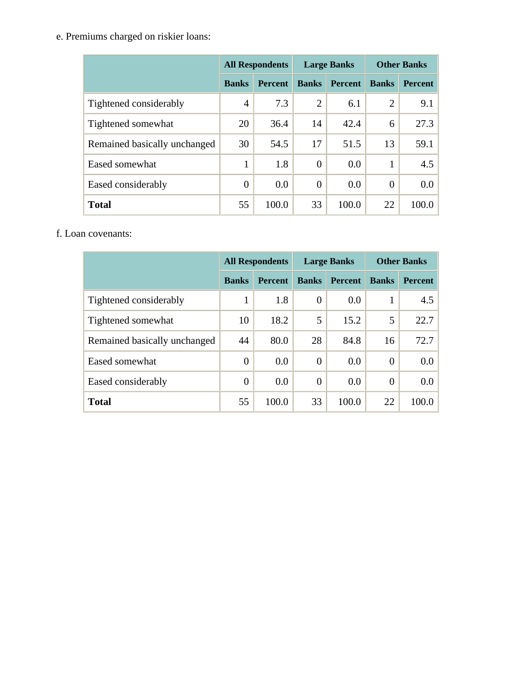e. Premiums charged on riskier loans:

|                              | <b>All Respondents</b> |                |                | <b>Large Banks</b> | <b>Other Banks</b> |                |  |
|------------------------------|------------------------|----------------|----------------|--------------------|--------------------|----------------|--|
|                              | <b>Banks</b>           | <b>Percent</b> | <b>Banks</b>   | <b>Percent</b>     | <b>Banks</b>       | <b>Percent</b> |  |
| Tightened considerably       | $\overline{4}$         | 7.3            | $\overline{2}$ | 6.1                | $\overline{2}$     | 9.1            |  |
| Tightened somewhat           | 20                     | 36.4           | 14             | 42.4               | 6                  | 27.3           |  |
| Remained basically unchanged | 30                     | 54.5           | 17             | 51.5               | 13                 | 59.1           |  |
| Eased somewhat               | 1                      | 1.8            | $\overline{0}$ | 0.0                |                    | 4.5            |  |
| Eased considerably           | $\overline{0}$         | 0.0            | $\overline{0}$ | 0.0                | $\theta$           | $0.0\,$        |  |
| <b>Total</b>                 | 55                     | 100.0          | 33             | 100.0              | 22                 | 100.0          |  |

#### f. Loan covenants:

|                              | <b>All Respondents</b> |                |              | <b>Large Banks</b> | <b>Other Banks</b> |                |  |
|------------------------------|------------------------|----------------|--------------|--------------------|--------------------|----------------|--|
|                              | <b>Banks</b>           | <b>Percent</b> | <b>Banks</b> | <b>Percent</b>     | <b>Banks</b>       | <b>Percent</b> |  |
| Tightened considerably       | 1                      | 1.8            | 0            | 0.0                |                    | 4.5            |  |
| Tightened somewhat           | 10                     | 18.2           | 5            | 15.2               | 5                  | 22.7           |  |
| Remained basically unchanged | 44                     | 80.0           | 28           | 84.8               | 16                 | 72.7           |  |
| Eased somewhat               | $\overline{0}$         | 0.0            | 0            | 0.0                | 0                  | 0.0            |  |
| Eased considerably           | $\overline{0}$         | 0.0            | $\theta$     | 0.0                | $\overline{0}$     | 0.0            |  |
| <b>Total</b>                 | 55                     | 100.0          | 33           | 100.0              | 22                 | 100.0          |  |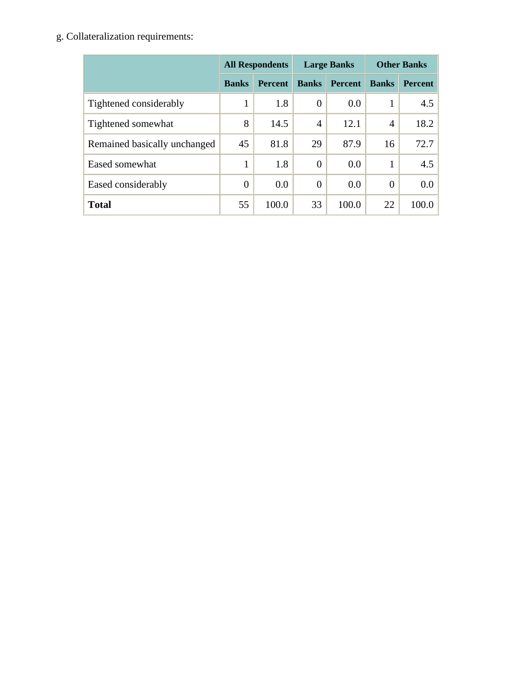g. Collateralization requirements:

|                              | <b>All Respondents</b> |                |                | <b>Large Banks</b> | <b>Other Banks</b> |                |  |
|------------------------------|------------------------|----------------|----------------|--------------------|--------------------|----------------|--|
|                              | <b>Banks</b>           | <b>Percent</b> | <b>Banks</b>   | <b>Percent</b>     | <b>Banks</b>       | <b>Percent</b> |  |
| Tightened considerably       | 1                      | 1.8            | $\overline{0}$ | 0.0                |                    | 4.5            |  |
| Tightened somewhat           | 8                      | 14.5           | $\overline{4}$ | 12.1               | $\overline{4}$     | 18.2           |  |
| Remained basically unchanged | 45                     | 81.8           | 29             | 87.9               | 16                 | 72.7           |  |
| Eased somewhat               | 1                      | 1.8            | $\overline{0}$ | 0.0                |                    | 4.5            |  |
| Eased considerably           | $\overline{0}$         | 0.0            | $\theta$       | 0.0                | $\overline{0}$     | 0.0            |  |
| <b>Total</b>                 | 55                     | 100.0          | 33             | 100.0              | 22                 | 100.0          |  |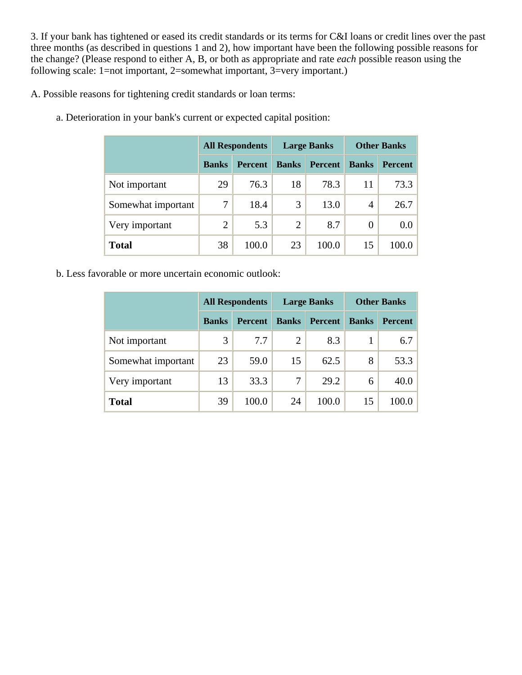3. If your bank has tightened or eased its credit standards or its terms for C&I loans or credit lines over the past three months (as described in questions 1 and 2), how important have been the following possible reasons for the change? (Please respond to either A, B, or both as appropriate and rate *each* possible reason using the following scale: 1=not important, 2=somewhat important, 3=very important.)

A. Possible reasons for tightening credit standards or loan terms:

|                    | <b>All Respondents</b> |                |              | <b>Large Banks</b> | <b>Other Banks</b> |                  |  |
|--------------------|------------------------|----------------|--------------|--------------------|--------------------|------------------|--|
|                    | <b>Banks</b>           | <b>Percent</b> | <b>Banks</b> | <b>Percent</b>     | <b>Banks</b>       | <b>Percent</b>   |  |
| Not important      | 29                     | 76.3           | 18           | 78.3               | 11                 | 73.3             |  |
| Somewhat important | 7                      | 18.4           | 3            | 13.0               | 4                  | 26.7             |  |
| Very important     | $\overline{2}$         | 5.3            | 2            | 8.7                | 0                  | 0.0 <sub>1</sub> |  |
| <b>Total</b>       | 38                     | 100.0          | 23           | 100.0              | 15                 | 100.0            |  |

a. Deterioration in your bank's current or expected capital position:

b. Less favorable or more uncertain economic outlook:

|                    |              | <b>All Respondents</b> |                | <b>Large Banks</b> | <b>Other Banks</b> |                |  |
|--------------------|--------------|------------------------|----------------|--------------------|--------------------|----------------|--|
|                    | <b>Banks</b> | <b>Percent</b>         | <b>Banks</b>   | <b>Percent</b>     | <b>Banks</b>       | <b>Percent</b> |  |
| Not important      | 3            | 7.7                    | $\overline{2}$ | 8.3                |                    | 6.7            |  |
| Somewhat important | 23           | 59.0                   | 15             | 62.5               | 8                  | 53.3           |  |
| Very important     | 13           | 33.3                   | 7              | 29.2               | 6                  | 40.0           |  |
| <b>Total</b>       | 39           | 100.0                  | 24             | 100.0              | 15                 | 100.0          |  |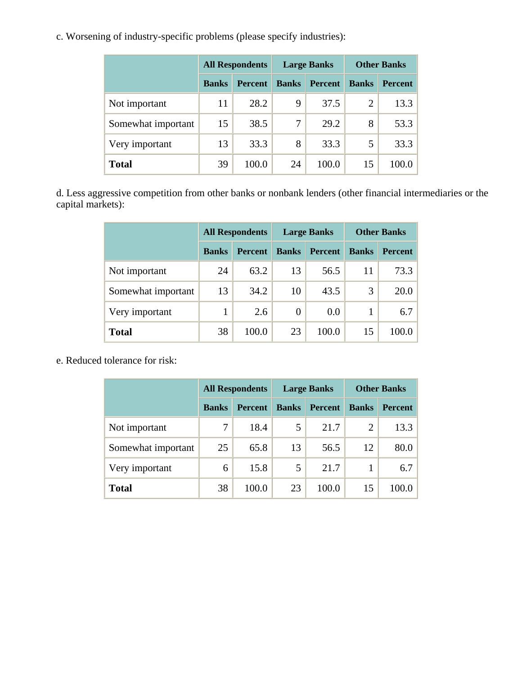c. Worsening of industry-specific problems (please specify industries):

|                    | <b>All Respondents</b> |                |              | <b>Large Banks</b> | <b>Other Banks</b> |                |  |
|--------------------|------------------------|----------------|--------------|--------------------|--------------------|----------------|--|
|                    | <b>Banks</b>           | <b>Percent</b> | <b>Banks</b> | <b>Percent</b>     | <b>Banks</b>       | <b>Percent</b> |  |
| Not important      | 11                     | 28.2           | 9            | 37.5               | $\overline{2}$     | 13.3           |  |
| Somewhat important | 15                     | 38.5           | 7            | 29.2               | 8                  | 53.3           |  |
| Very important     | 13                     | 33.3           | 8            | 33.3               | 5                  | 33.3           |  |
| <b>Total</b>       | 39                     | 100.0          | 24           | 100.0              | 15                 | 100.0          |  |

d. Less aggressive competition from other banks or nonbank lenders (other financial intermediaries or the capital markets):

|                    | <b>All Respondents</b> |                |              | <b>Large Banks</b> | <b>Other Banks</b> |                |  |
|--------------------|------------------------|----------------|--------------|--------------------|--------------------|----------------|--|
|                    | <b>Banks</b>           | <b>Percent</b> | <b>Banks</b> | <b>Percent</b>     | <b>Banks</b>       | <b>Percent</b> |  |
| Not important      | 24                     | 63.2           | 13           | 56.5               | 11                 | 73.3           |  |
| Somewhat important | 13                     | 34.2           | 10           | 43.5               | 3                  | 20.0           |  |
| Very important     |                        | 2.6            | 0            | $0.0\,$            |                    | 6.7            |  |
| <b>Total</b>       | 38                     | 100.0          | 23           | 100.0              | 15                 | 100.0          |  |

e. Reduced tolerance for risk:

|                    |              | <b>All Respondents</b> |              | <b>Large Banks</b> | <b>Other Banks</b> |                |  |
|--------------------|--------------|------------------------|--------------|--------------------|--------------------|----------------|--|
|                    | <b>Banks</b> | <b>Percent</b>         | <b>Banks</b> | <b>Percent</b>     | <b>Banks</b>       | <b>Percent</b> |  |
| Not important      |              | 18.4                   | 5            | 21.7               | 2                  | 13.3           |  |
| Somewhat important | 25           | 65.8                   | 13           | 56.5               | 12                 | 80.0           |  |
| Very important     | 6            | 15.8                   | 5            | 21.7               |                    | 6.7            |  |
| <b>Total</b>       | 38           | 100.0                  | 23           | 100.0              | 15                 | 100.0          |  |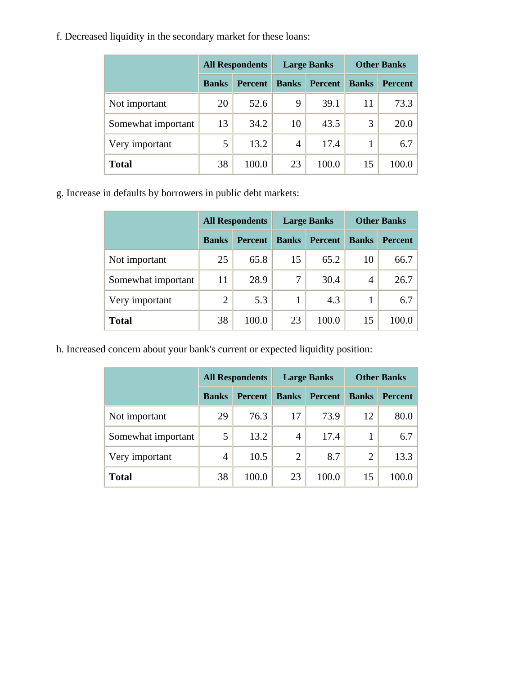f. Decreased liquidity in the secondary market for these loans:

|                    |              | <b>All Respondents</b> |              | <b>Large Banks</b> | <b>Other Banks</b> |                |  |
|--------------------|--------------|------------------------|--------------|--------------------|--------------------|----------------|--|
|                    | <b>Banks</b> | <b>Percent</b>         | <b>Banks</b> | <b>Percent</b>     | <b>Banks</b>       | <b>Percent</b> |  |
| Not important      | 20           | 52.6                   | 9            | 39.1               | 11                 | 73.3           |  |
| Somewhat important | 13           | 34.2                   | 10           | 43.5               | 3                  | 20.0           |  |
| Very important     | 5            | 13.2                   | 4            | 17.4               |                    | 6.7            |  |
| <b>Total</b>       | 38           | 100.0                  | 23           | 100.0              | 15                 | 100.0          |  |

g. Increase in defaults by borrowers in public debt markets:

|                    |                | <b>All Respondents</b> |              | <b>Large Banks</b> | <b>Other Banks</b> |                |  |
|--------------------|----------------|------------------------|--------------|--------------------|--------------------|----------------|--|
|                    | <b>Banks</b>   | <b>Percent</b>         | <b>Banks</b> | <b>Percent</b>     | <b>Banks</b>       | <b>Percent</b> |  |
| Not important      | 25             | 65.8                   | 15           | 65.2               | 10                 | 66.7           |  |
| Somewhat important | 11             | 28.9                   | 7            | 30.4               | 4                  | 26.7           |  |
| Very important     | $\overline{2}$ | 5.3                    | 1            | 4.3                |                    | 6.7            |  |
| <b>Total</b>       | 38             | 100.0                  | 23           | 100.0              | 15                 | 100.0          |  |

h. Increased concern about your bank's current or expected liquidity position:

|                    |              | <b>All Respondents</b> |                | <b>Large Banks</b> | <b>Other Banks</b> |                |  |
|--------------------|--------------|------------------------|----------------|--------------------|--------------------|----------------|--|
|                    | <b>Banks</b> | <b>Percent</b>         | <b>Banks</b>   | <b>Percent</b>     | <b>Banks</b>       | <b>Percent</b> |  |
| Not important      | 29           | 76.3                   | 17             | 73.9               | 12                 | 80.0           |  |
| Somewhat important | 5            | 13.2                   | 4              | 17.4               |                    | 6.7            |  |
| Very important     | 4            | 10.5                   | $\overline{2}$ | 8.7                | 2                  | 13.3           |  |
| <b>Total</b>       | 38           | 100.0                  | 23             | 100.0              | 15                 | 100.0          |  |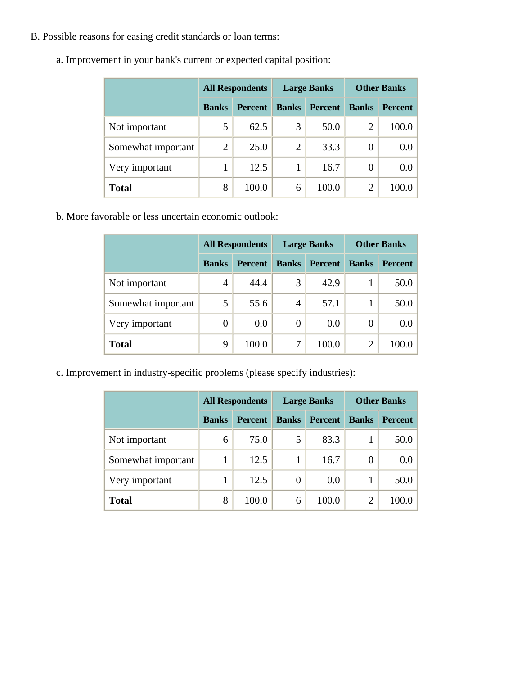B. Possible reasons for easing credit standards or loan terms:

|                    | <b>All Respondents</b> |                |                | <b>Large Banks</b> | <b>Other Banks</b> |                  |
|--------------------|------------------------|----------------|----------------|--------------------|--------------------|------------------|
|                    | <b>Banks</b>           | <b>Percent</b> | <b>Banks</b>   | <b>Percent</b>     | <b>Banks</b>       | <b>Percent</b>   |
| Not important      | 5                      | 62.5           | 3              | 50.0               | 2                  | 100.0            |
| Somewhat important | $\overline{2}$         | 25.0           | $\overline{2}$ | 33.3               | 0                  | 0.0 <sub>1</sub> |
| Very important     |                        | 12.5           |                | 16.7               | 0                  | 0.0              |
| <b>Total</b>       | 8                      | 100.0          | 6              | 100.0              | 2                  | 100.0            |

a. Improvement in your bank's current or expected capital position:

b. More favorable or less uncertain economic outlook:

|                    | <b>All Respondents</b> |                | <b>Large Banks</b> |                | <b>Other Banks</b> |                |
|--------------------|------------------------|----------------|--------------------|----------------|--------------------|----------------|
|                    | <b>Banks</b>           | <b>Percent</b> | <b>Banks</b>       | <b>Percent</b> | <b>Banks</b>       | <b>Percent</b> |
| Not important      | 4                      | 44.4           | 3                  | 42.9           |                    | 50.0           |
| Somewhat important | 5                      | 55.6           | 4                  | 57.1           |                    | 50.0           |
| Very important     | 0                      | 0.0            | $\overline{0}$     | 0.0            | 0                  | 0.0            |
| <b>Total</b>       | 9                      | 100.0          | 7                  | 100.0          | 2                  | 100.0          |

c. Improvement in industry-specific problems (please specify industries):

|                    | <b>All Respondents</b> |                |              | <b>Large Banks</b> | <b>Other Banks</b> |                |
|--------------------|------------------------|----------------|--------------|--------------------|--------------------|----------------|
|                    | <b>Banks</b>           | <b>Percent</b> | <b>Banks</b> | <b>Percent</b>     | <b>Banks</b>       | <b>Percent</b> |
| Not important      | 6                      | 75.0           | 5            | 83.3               |                    | 50.0           |
| Somewhat important |                        | 12.5           |              | 16.7               | 0                  | $0.0\,$        |
| Very important     |                        | 12.5           | 0            | 0.0                |                    | 50.0           |
| <b>Total</b>       | 8                      | 100.0          | 6            | 100.0              | $\overline{2}$     | 100.0          |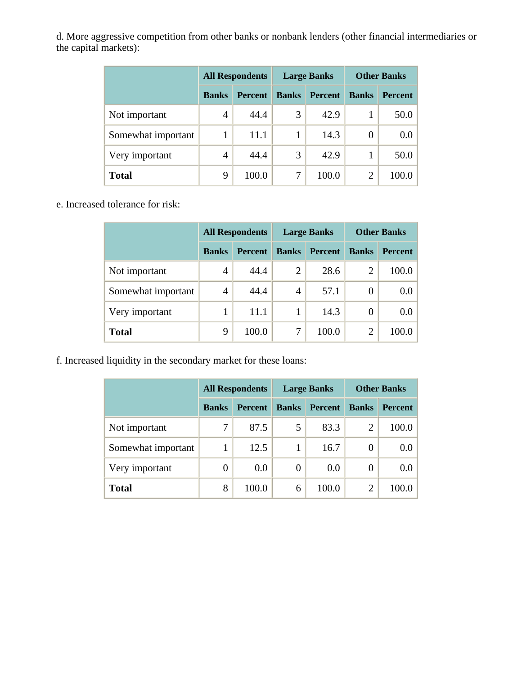d. More aggressive competition from other banks or nonbank lenders (other financial intermediaries or the capital markets):

|                    | <b>All Respondents</b> |                |              | <b>Large Banks</b> | <b>Other Banks</b> |                |
|--------------------|------------------------|----------------|--------------|--------------------|--------------------|----------------|
|                    | <b>Banks</b>           | <b>Percent</b> | <b>Banks</b> | <b>Percent</b>     | <b>Banks</b>       | <b>Percent</b> |
| Not important      | 4                      | 44.4           | 3            | 42.9               |                    | 50.0           |
| Somewhat important | 1                      | 11.1           |              | 14.3               | $\Omega$           | 0.0            |
| Very important     | 4                      | 44.4           | 3            | 42.9               |                    | 50.0           |
| <b>Total</b>       | 9                      | 100.0          |              | 100.0              | 2                  | 100.0          |

e. Increased tolerance for risk:

|                    | <b>All Respondents</b> |                |                | <b>Large Banks</b> | <b>Other Banks</b> |                |
|--------------------|------------------------|----------------|----------------|--------------------|--------------------|----------------|
|                    | <b>Banks</b>           | <b>Percent</b> | <b>Banks</b>   | <b>Percent</b>     | <b>Banks</b>       | <b>Percent</b> |
| Not important      | 4                      | 44.4           | $\overline{2}$ | 28.6               | $\overline{2}$     | 100.0          |
| Somewhat important | 4                      | 44.4           | 4              | 57.1               | 0                  | 0.0            |
| Very important     |                        | 11.1           |                | 14.3               | $\theta$           | 0.0            |
| Total              | 9                      | 100.0          | 7              | 100.0              | $\overline{2}$     | 100.0          |

f. Increased liquidity in the secondary market for these loans:

|                    | <b>All Respondents</b> |                |              | <b>Large Banks</b> | <b>Other Banks</b> |                  |
|--------------------|------------------------|----------------|--------------|--------------------|--------------------|------------------|
|                    | <b>Banks</b>           | <b>Percent</b> | <b>Banks</b> | <b>Percent</b>     | <b>Banks</b>       | <b>Percent</b>   |
| Not important      |                        | 87.5           | 5            | 83.3               | 2                  | 100.0            |
| Somewhat important |                        | 12.5           | 1            | 16.7               | 0                  | 0.0 <sub>1</sub> |
| Very important     | 0                      | 0.0            | 0            | 0.0                | 0                  | 0.0 <sub>1</sub> |
| <b>Total</b>       | 8                      | 100.0          | 6            | 100.0              | 2                  | 100.0            |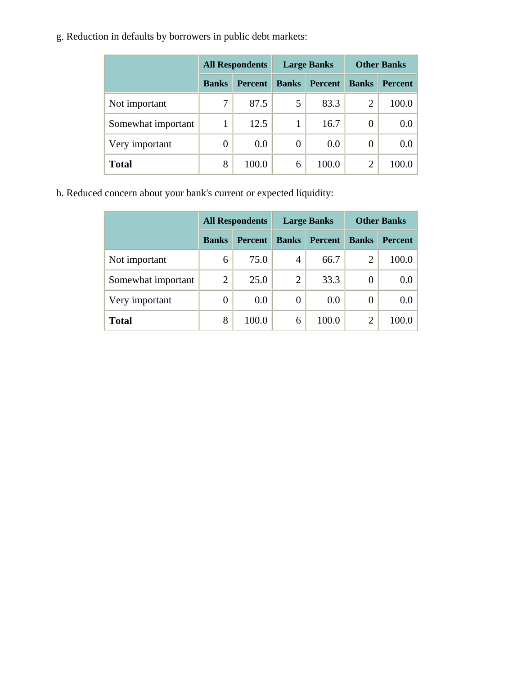g. Reduction in defaults by borrowers in public debt markets:

|                    | <b>All Respondents</b> |                |                  | <b>Large Banks</b> | <b>Other Banks</b> |                |
|--------------------|------------------------|----------------|------------------|--------------------|--------------------|----------------|
|                    | <b>Banks</b>           | <b>Percent</b> | <b>Banks</b>     | <b>Percent</b>     | <b>Banks</b>       | <b>Percent</b> |
| Not important      |                        | 87.5           | 5                | 83.3               | $\overline{2}$     | 100.0          |
| Somewhat important |                        | 12.5           |                  | 16.7               | 0                  | 0.0            |
| Very important     | 0                      | 0.0            | $\boldsymbol{0}$ | 0.0                | 0                  | 0.0            |
| <b>Total</b>       | 8                      | 100.0          | 6                | 100.0              | 2                  | 100.0          |

h. Reduced concern about your bank's current or expected liquidity:

|                    | <b>All Respondents</b> |                | <b>Large Banks</b> |                | <b>Other Banks</b> |                |
|--------------------|------------------------|----------------|--------------------|----------------|--------------------|----------------|
|                    | <b>Banks</b>           | <b>Percent</b> | <b>Banks</b>       | <b>Percent</b> | <b>Banks</b>       | <b>Percent</b> |
| Not important      | 6                      | 75.0           | $\overline{4}$     | 66.7           | 2                  | 100.0          |
| Somewhat important | $\overline{2}$         | 25.0           | $\overline{2}$     | 33.3           | 0                  | 0.0            |
| Very important     | 0                      | 0.0            | 0                  | 0.0            | 0                  | 0.0            |
| <b>Total</b>       | 8                      | 100.0          | 6                  | 100.0          | $\overline{2}$     | 100.0          |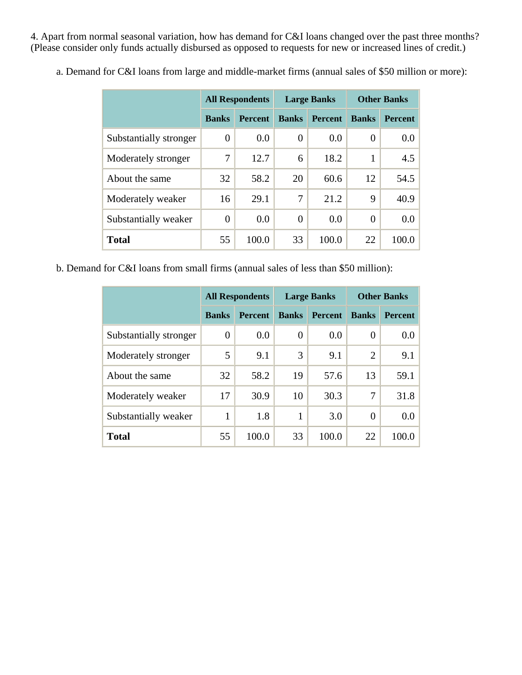4. Apart from normal seasonal variation, how has demand for C&I loans changed over the past three months? (Please consider only funds actually disbursed as opposed to requests for new or increased lines of credit.)

|                        | <b>All Respondents</b> |                | <b>Large Banks</b> |                | <b>Other Banks</b> |                |
|------------------------|------------------------|----------------|--------------------|----------------|--------------------|----------------|
|                        | <b>Banks</b>           | <b>Percent</b> | <b>Banks</b>       | <b>Percent</b> | <b>Banks</b>       | <b>Percent</b> |
| Substantially stronger | 0                      | 0.0            | 0                  | 0.0            | 0                  | 0.0            |
| Moderately stronger    | 7                      | 12.7           | 6                  | 18.2           | 1                  | 4.5            |
| About the same         | 32                     | 58.2           | 20                 | 60.6           | 12                 | 54.5           |
| Moderately weaker      | 16                     | 29.1           | 7                  | 21.2           | 9                  | 40.9           |
| Substantially weaker   | $\overline{0}$         | 0.0            | $\overline{0}$     | 0.0            | $\overline{0}$     | 0.0            |
| <b>Total</b>           | 55                     | 100.0          | 33                 | 100.0          | 22                 | 100.0          |

a. Demand for C&I loans from large and middle-market firms (annual sales of \$50 million or more):

b. Demand for C&I loans from small firms (annual sales of less than \$50 million):

|                        | <b>All Respondents</b> |                | <b>Large Banks</b> |                | <b>Other Banks</b> |                |
|------------------------|------------------------|----------------|--------------------|----------------|--------------------|----------------|
|                        | <b>Banks</b>           | <b>Percent</b> | <b>Banks</b>       | <b>Percent</b> | <b>Banks</b>       | <b>Percent</b> |
| Substantially stronger | 0                      | 0.0            | $\theta$           | 0.0            | 0                  | $0.0\,$        |
| Moderately stronger    | 5                      | 9.1            | 3                  | 9.1            | $\overline{2}$     | 9.1            |
| About the same         | 32                     | 58.2           | 19                 | 57.6           | 13                 | 59.1           |
| Moderately weaker      | 17                     | 30.9           | 10                 | 30.3           | 7                  | 31.8           |
| Substantially weaker   | 1                      | 1.8            | $\mathbf{1}$       | 3.0            | $\overline{0}$     | $0.0\,$        |
| <b>Total</b>           | 55                     | 100.0          | 33                 | 100.0          | 22                 | 100.0          |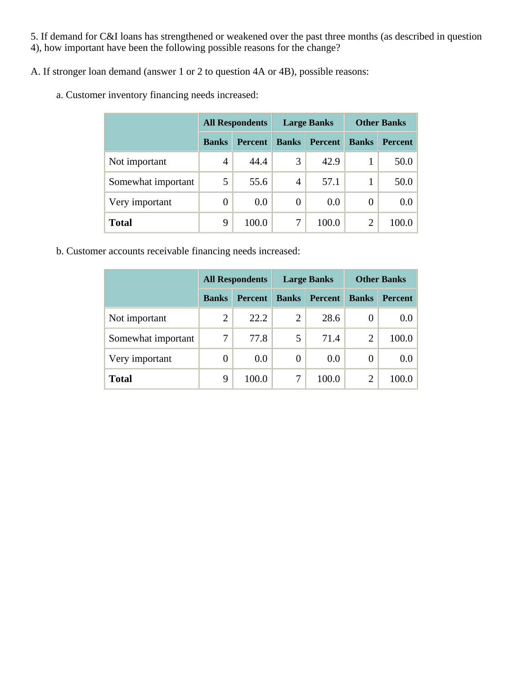5. If demand for C&I loans has strengthened or weakened over the past three months (as described in question 4), how important have been the following possible reasons for the change?

A. If stronger loan demand (answer 1 or 2 to question 4A or 4B), possible reasons:

a. Customer inventory financing needs increased:

|                    | <b>All Respondents</b> |                | <b>Large Banks</b> |                | <b>Other Banks</b> |                |
|--------------------|------------------------|----------------|--------------------|----------------|--------------------|----------------|
|                    | <b>Banks</b>           | <b>Percent</b> | <b>Banks</b>       | <b>Percent</b> | <b>Banks</b>       | <b>Percent</b> |
| Not important      | $\overline{4}$         | 44.4           | 3                  | 42.9           |                    | 50.0           |
| Somewhat important |                        | 55.6           | $\overline{4}$     | 57.1           |                    | 50.0           |
| Very important     | 0                      | 0.0            | 0                  | 0.0            | 0                  | 0.0            |
| <b>Total</b>       | 9                      | 100.0          | 7                  | 100.0          | 2                  | 100.0          |

b. Customer accounts receivable financing needs increased:

|                    | <b>All Respondents</b> |                |              | <b>Large Banks</b> | <b>Other Banks</b> |                |
|--------------------|------------------------|----------------|--------------|--------------------|--------------------|----------------|
|                    | <b>Banks</b>           | <b>Percent</b> | <b>Banks</b> | <b>Percent</b>     | <b>Banks</b>       | <b>Percent</b> |
| Not important      | $\overline{2}$         | 22.2           | 2            | 28.6               | $\theta$           | 0.0            |
| Somewhat important |                        | 77.8           | 5            | 71.4               | 2                  | 100.0          |
| Very important     | 0                      | 0.0            | 0            | 0.0                | 0                  | 0.0            |
| <b>Total</b>       | 9                      | 100.0          | 7            | 100.0              | 2                  | 100.0          |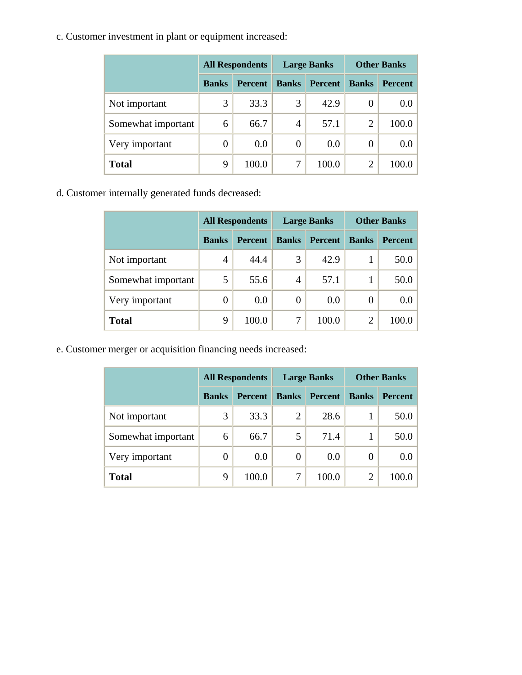c. Customer investment in plant or equipment increased:

|                    |              | <b>All Respondents</b> |                  | <b>Large Banks</b> | <b>Other Banks</b> |                |  |
|--------------------|--------------|------------------------|------------------|--------------------|--------------------|----------------|--|
|                    | <b>Banks</b> | <b>Percent</b>         | <b>Banks</b>     | <b>Percent</b>     | <b>Banks</b>       | <b>Percent</b> |  |
| Not important      | 3            | 33.3                   | 3                | 42.9               | 0                  | 0.0            |  |
| Somewhat important | 6            | 66.7                   | 4                | 57.1               | $\overline{2}$     | 100.0          |  |
| Very important     | 0            | 0.0                    | $\boldsymbol{0}$ | 0.0                | 0                  | 0.0            |  |
| <b>Total</b>       | 9            | 100.0                  | 7                | 100.0              | $\overline{2}$     | 100.0          |  |

d. Customer internally generated funds decreased:

|                    | <b>All Respondents</b> |                |              | <b>Large Banks</b> | <b>Other Banks</b> |                |  |
|--------------------|------------------------|----------------|--------------|--------------------|--------------------|----------------|--|
|                    | <b>Banks</b>           | <b>Percent</b> | <b>Banks</b> | <b>Percent</b>     | <b>Banks</b>       | <b>Percent</b> |  |
| Not important      | 4                      | 44.4           | 3            | 42.9               |                    | 50.0           |  |
| Somewhat important | 5                      | 55.6           | 4            | 57.1               |                    | 50.0           |  |
| Very important     | 0                      | 0.0            | 0            | 0.0                | 0                  | 0.0            |  |
| <b>Total</b>       | 9                      | 100.0          | 7            | 100.0              | $\overline{2}$     | 100.0          |  |

e. Customer merger or acquisition financing needs increased:

|                    |              | <b>All Respondents</b> |                | <b>Large Banks</b> | <b>Other Banks</b> |                |  |
|--------------------|--------------|------------------------|----------------|--------------------|--------------------|----------------|--|
|                    | <b>Banks</b> | <b>Percent</b>         | <b>Banks</b>   | <b>Percent</b>     | <b>Banks</b>       | <b>Percent</b> |  |
| Not important      | 3            | 33.3                   | $\overline{2}$ | 28.6               |                    | 50.0           |  |
| Somewhat important | 6            | 66.7                   | 5              | 71.4               |                    | 50.0           |  |
| Very important     | 0            | 0.0                    | $\overline{0}$ | 0.0                | 0                  | 0.0            |  |
| <b>Total</b>       | 9            | 100.0                  | 7              | 100.0              | 2                  | 100.0          |  |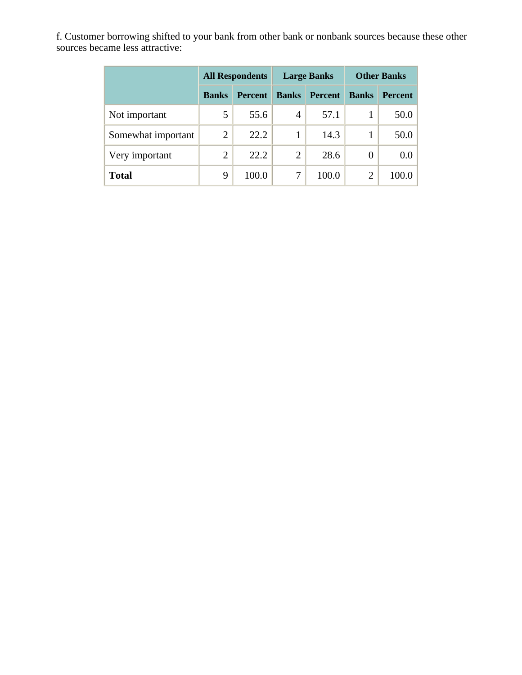f. Customer borrowing shifted to your bank from other bank or nonbank sources because these other sources became less attractive:

|                    |              | <b>All Respondents</b> |                | <b>Large Banks</b> | <b>Other Banks</b> |                  |  |
|--------------------|--------------|------------------------|----------------|--------------------|--------------------|------------------|--|
|                    | <b>Banks</b> | <b>Percent</b>         | <b>Banks</b>   | <b>Percent</b>     | <b>Banks</b>       | <b>Percent</b>   |  |
| Not important      | 5            | 55.6                   | 4              | 57.1               |                    | 50.0             |  |
| Somewhat important | 2            | 22.2                   |                | 14.3               |                    | 50.0             |  |
| Very important     | 2            | 22.2                   | $\overline{2}$ | 28.6               | 0                  | 0.0 <sub>1</sub> |  |
| <b>Total</b>       | 9            | 100.0                  | 7              | 100.0              | $\overline{2}$     | 100.0            |  |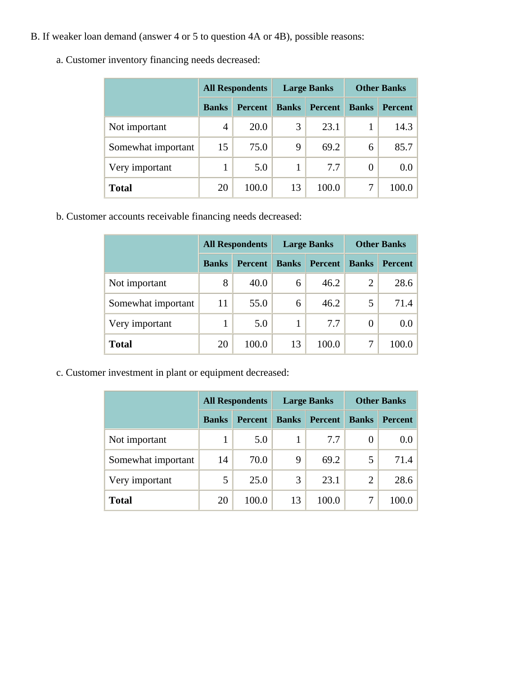- B. If weaker loan demand (answer 4 or 5 to question 4A or 4B), possible reasons:
	- a. Customer inventory financing needs decreased:

|                    |              | <b>All Respondents</b> |              | <b>Large Banks</b> | <b>Other Banks</b> |                |  |
|--------------------|--------------|------------------------|--------------|--------------------|--------------------|----------------|--|
|                    | <b>Banks</b> | <b>Percent</b>         | <b>Banks</b> | <b>Percent</b>     | <b>Banks</b>       | <b>Percent</b> |  |
| Not important      | 4            | 20.0                   | 3            | 23.1               |                    | 14.3           |  |
| Somewhat important | 15           | 75.0                   | 9            | 69.2               | 6                  | 85.7           |  |
| Very important     |              | 5.0                    | 1            | 7.7                | 0                  | 0.0            |  |
| <b>Total</b>       | 20           | 100.0                  | 13           | 100.0              |                    | 100.0          |  |

b. Customer accounts receivable financing needs decreased:

|                    |              | <b>All Respondents</b> |              | <b>Large Banks</b> | <b>Other Banks</b> |                |  |
|--------------------|--------------|------------------------|--------------|--------------------|--------------------|----------------|--|
|                    | <b>Banks</b> | <b>Percent</b>         | <b>Banks</b> | <b>Percent</b>     | <b>Banks</b>       | <b>Percent</b> |  |
| Not important      | 8            | 40.0                   | 6            | 46.2               | $\overline{2}$     | 28.6           |  |
| Somewhat important | 11           | 55.0                   | 6            | 46.2               | 5                  | 71.4           |  |
| Very important     |              | 5.0                    |              | 7.7                | 0                  | 0.0            |  |
| <b>Total</b>       | 20           | 100.0                  | 13           | 100.0              | 7                  | 100.0          |  |

c. Customer investment in plant or equipment decreased:

|                    | <b>All Respondents</b> |                |              | <b>Large Banks</b> | <b>Other Banks</b> |                |  |
|--------------------|------------------------|----------------|--------------|--------------------|--------------------|----------------|--|
|                    | <b>Banks</b>           | <b>Percent</b> | <b>Banks</b> | <b>Percent</b>     | <b>Banks</b>       | <b>Percent</b> |  |
| Not important      |                        | 5.0            |              | 7.7                | 0                  | 0.0            |  |
| Somewhat important | 14                     | 70.0           | 9            | 69.2               | 5                  | 71.4           |  |
| Very important     | 5                      | 25.0           | 3            | 23.1               | 2                  | 28.6           |  |
| <b>Total</b>       | 20                     | 100.0          | 13           | 100.0              |                    | 100            |  |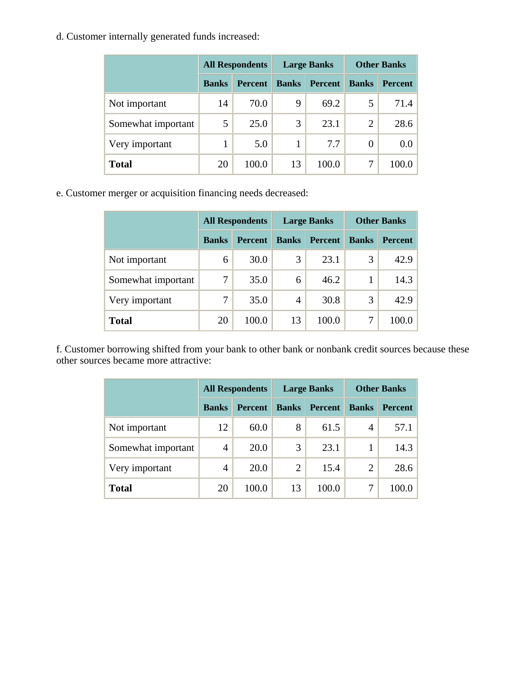d. Customer internally generated funds increased:

|                    |              | <b>All Respondents</b> |              | <b>Large Banks</b> | <b>Other Banks</b> |                |  |
|--------------------|--------------|------------------------|--------------|--------------------|--------------------|----------------|--|
|                    | <b>Banks</b> | <b>Percent</b>         | <b>Banks</b> | <b>Percent</b>     | <b>Banks</b>       | <b>Percent</b> |  |
| Not important      | 14           | 70.0                   | 9            | 69.2               | 5                  | 71.4           |  |
| Somewhat important | 5            | 25.0                   | 3            | 23.1               | $\overline{2}$     | 28.6           |  |
| Very important     |              | 5.0                    | 1            | 7.7                | 0                  | 0.0            |  |
| <b>Total</b>       | 20           | 100.0                  | 13           | 100.0              | 7                  | 100.0          |  |

e. Customer merger or acquisition financing needs decreased:

|                    |              | <b>All Respondents</b> |                | <b>Large Banks</b> | <b>Other Banks</b> |                |  |
|--------------------|--------------|------------------------|----------------|--------------------|--------------------|----------------|--|
|                    | <b>Banks</b> | <b>Percent</b>         | <b>Banks</b>   | <b>Percent</b>     | <b>Banks</b>       | <b>Percent</b> |  |
| Not important      | 6            | 30.0                   | 3              | 23.1               | 3                  | 42.9           |  |
| Somewhat important | 7            | 35.0                   | 6              | 46.2               |                    | 14.3           |  |
| Very important     |              | 35.0                   | $\overline{4}$ | 30.8               | 3                  | 42.9           |  |
| <b>Total</b>       | 20           | 100.0                  | 13             | 100.0              | 7                  | 100.0          |  |

f. Customer borrowing shifted from your bank to other bank or nonbank credit sources because these other sources became more attractive:

|                    |              | <b>All Respondents</b> |                | <b>Large Banks</b> | <b>Other Banks</b> |                |  |
|--------------------|--------------|------------------------|----------------|--------------------|--------------------|----------------|--|
|                    | <b>Banks</b> | <b>Percent</b>         | <b>Banks</b>   | <b>Percent</b>     | <b>Banks</b>       | <b>Percent</b> |  |
| Not important      | 12           | 60.0                   | 8              | 61.5               | 4                  | 57.1           |  |
| Somewhat important | 4            | 20.0                   | 3              | 23.1               |                    | 14.3           |  |
| Very important     | 4            | 20.0                   | $\overline{2}$ | 15.4               | 2                  | 28.6           |  |
| <b>Total</b>       | 20           | 100.0                  | 13             | 100.0              | 7                  | 100.0          |  |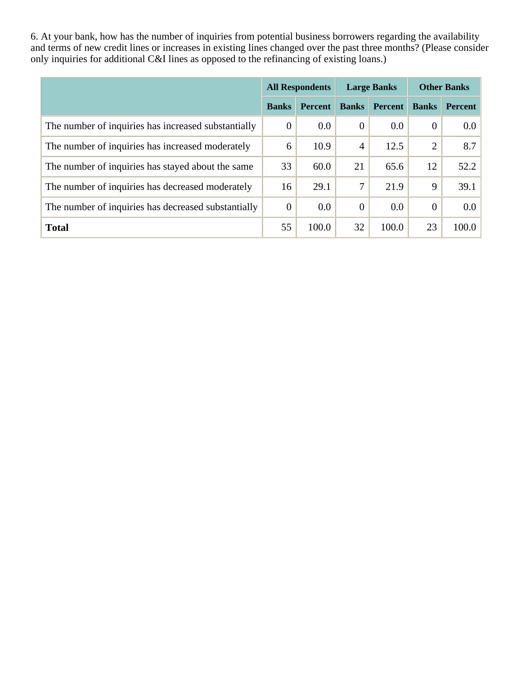6. At your bank, how has the number of inquiries from potential business borrowers regarding the availability and terms of new credit lines or increases in existing lines changed over the past three months? (Please consider only inquiries for additional C&I lines as opposed to the refinancing of existing loans.)

|                                                     |              | <b>All Respondents</b> |                | <b>Large Banks</b> | <b>Other Banks</b> |                  |  |
|-----------------------------------------------------|--------------|------------------------|----------------|--------------------|--------------------|------------------|--|
|                                                     | <b>Banks</b> | <b>Percent</b>         | <b>Banks</b>   | <b>Percent</b>     | <b>Banks</b>       | Percent          |  |
| The number of inquiries has increased substantially | $\theta$     | $0.0\,$                | $\theta$       | 0.0                | $\overline{0}$     | 0.0              |  |
| The number of inquiries has increased moderately    | 6            | 10.9                   | $\overline{4}$ | 12.5               | 2                  | 8.7              |  |
| The number of inquiries has stayed about the same   | 33           | 60.0                   | 21             | 65.6               | 12                 | 52.2             |  |
| The number of inquiries has decreased moderately    | 16           | 29.1                   | 7              | 21.9               | 9                  | 39.1             |  |
| The number of inquiries has decreased substantially | $\theta$     | 0.0                    | $\theta$       | 0.0                | $\theta$           | 0.0 <sub>1</sub> |  |
| <b>Total</b>                                        | 55           | 100.0                  | 32             | 100.0              | 23                 | 100.0            |  |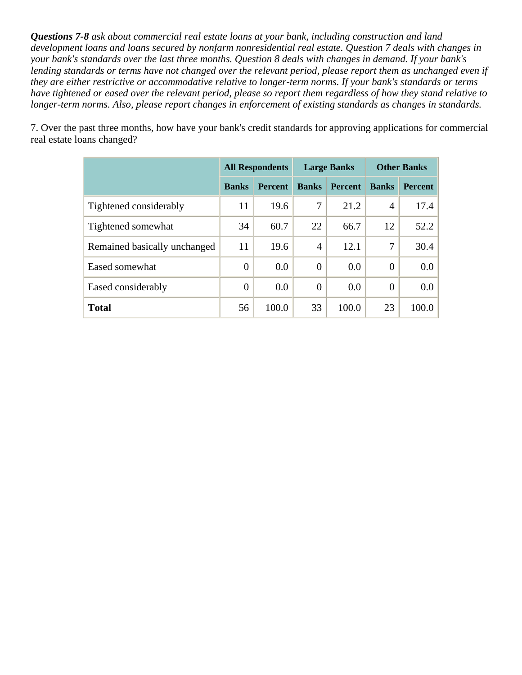*Questions 7-8 ask about commercial real estate loans at your bank, including construction and land development loans and loans secured by nonfarm nonresidential real estate. Question 7 deals with changes in your bank's standards over the last three months. Question 8 deals with changes in demand. If your bank's*  lending standards or terms have not changed over the relevant period, please report them as unchanged even if *they are either restrictive or accommodative relative to longer-term norms. If your bank's standards or terms have tightened or eased over the relevant period, please so report them regardless of how they stand relative to longer-term norms. Also, please report changes in enforcement of existing standards as changes in standards.* 

7. Over the past three months, how have your bank's credit standards for approving applications for commercial real estate loans changed?

|                              | <b>All Respondents</b> |                |                | <b>Large Banks</b> | <b>Other Banks</b> |                |  |
|------------------------------|------------------------|----------------|----------------|--------------------|--------------------|----------------|--|
|                              | <b>Banks</b>           | <b>Percent</b> | <b>Banks</b>   | <b>Percent</b>     | <b>Banks</b>       | <b>Percent</b> |  |
| Tightened considerably       | 11                     | 19.6           | 7              | 21.2               | $\overline{4}$     | 17.4           |  |
| Tightened somewhat           | 34                     | 60.7           | 22             | 66.7               | 12                 | 52.2           |  |
| Remained basically unchanged | 11                     | 19.6           | $\overline{4}$ | 12.1               | 7                  | 30.4           |  |
| Eased somewhat               | $\theta$               | 0.0            | $\overline{0}$ | 0.0                | $\theta$           | 0.0            |  |
| Eased considerably           | $\theta$               | 0.0            | $\overline{0}$ | 0.0                | $\theta$           | 0.0            |  |
| <b>Total</b>                 | 56                     | 100.0          | 33             | 100.0              | 23                 | 100.0          |  |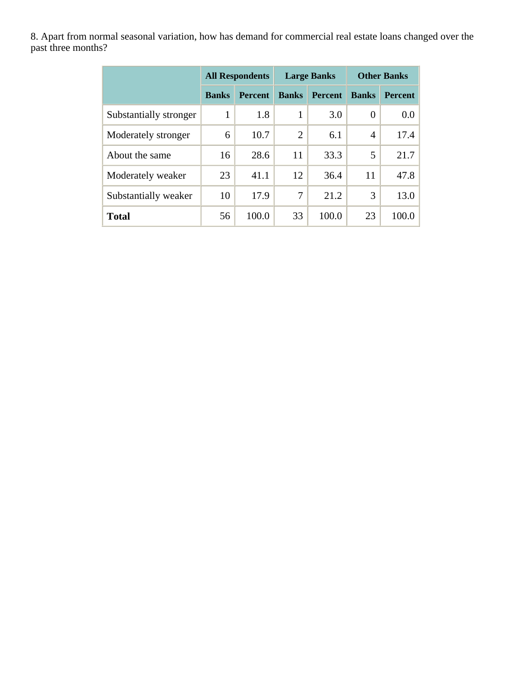8. Apart from normal seasonal variation, how has demand for commercial real estate loans changed over the past three months?

|                        | <b>All Respondents</b> |                |                | <b>Large Banks</b> | <b>Other Banks</b> |                  |  |
|------------------------|------------------------|----------------|----------------|--------------------|--------------------|------------------|--|
|                        | <b>Banks</b>           | <b>Percent</b> | <b>Banks</b>   | <b>Percent</b>     | <b>Banks</b>       | <b>Percent</b>   |  |
| Substantially stronger | 1                      | 1.8            | 1              | 3.0                | $\overline{0}$     | 0.0 <sub>1</sub> |  |
| Moderately stronger    | 6                      | 10.7           | $\overline{2}$ | 6.1                | 4                  | 17.4             |  |
| About the same         | 16                     | 28.6           | 11             | 33.3               | 5                  | 21.7             |  |
| Moderately weaker      | 23                     | 41.1           | 12             | 36.4               | 11                 | 47.8             |  |
| Substantially weaker   | 10                     | 17.9           | 7              | 21.2               | 3                  | 13.0             |  |
| <b>Total</b>           | 56                     | 100.0          | 33             | 100.0              | 23                 | 100.0            |  |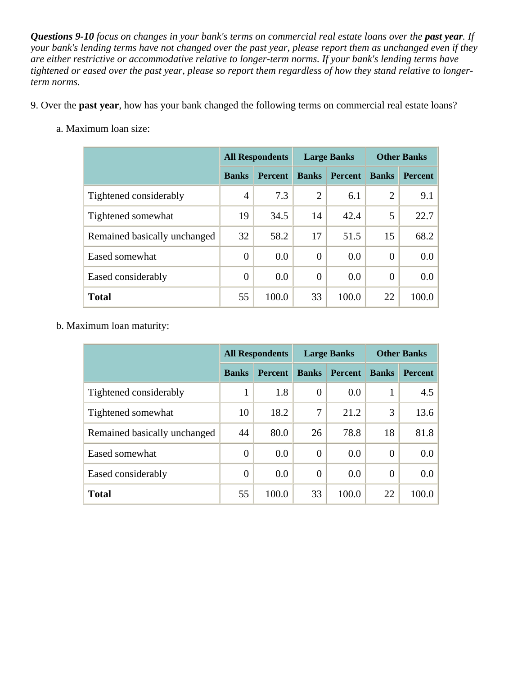*Questions 9-10 focus on changes in your bank's terms on commercial real estate loans over the past year. If your bank's lending terms have not changed over the past year, please report them as unchanged even if they are either restrictive or accommodative relative to longer-term norms. If your bank's lending terms have tightened or eased over the past year, please so report them regardless of how they stand relative to longerterm norms.* 

- 9. Over the **past year**, how has your bank changed the following terms on commercial real estate loans?
	- a. Maximum loan size:

|                              | <b>All Respondents</b> |                |                | <b>Large Banks</b> | <b>Other Banks</b> |                |  |
|------------------------------|------------------------|----------------|----------------|--------------------|--------------------|----------------|--|
|                              | <b>Banks</b>           | <b>Percent</b> | <b>Banks</b>   | <b>Percent</b>     | <b>Banks</b>       | <b>Percent</b> |  |
| Tightened considerably       | $\overline{4}$         | 7.3            | $\overline{2}$ | 6.1                | 2                  | 9.1            |  |
| Tightened somewhat           | 19                     | 34.5           | 14             | 42.4               | 5                  | 22.7           |  |
| Remained basically unchanged | 32                     | 58.2           | 17             | 51.5               | 15                 | 68.2           |  |
| Eased somewhat               | $\overline{0}$         | 0.0            | $\Omega$       | 0.0                | $\Omega$           | $0.0\,$        |  |
| Eased considerably           | $\overline{0}$         | 0.0            | $\overline{0}$ | 0.0                | $\theta$           | $0.0\,$        |  |
| <b>Total</b>                 | 55                     | 100.0          | 33             | 100.0              | 22                 | 100.0          |  |

b. Maximum loan maturity:

|                              | <b>All Respondents</b> |                |                | <b>Large Banks</b> | <b>Other Banks</b> |                  |  |
|------------------------------|------------------------|----------------|----------------|--------------------|--------------------|------------------|--|
|                              | <b>Banks</b>           | <b>Percent</b> | <b>Banks</b>   | <b>Percent</b>     | <b>Banks</b>       | <b>Percent</b>   |  |
| Tightened considerably       | 1                      | 1.8            | $\overline{0}$ | 0.0                |                    | 4.5              |  |
| Tightened somewhat           | 10                     | 18.2           | 7              | 21.2               | 3                  | 13.6             |  |
| Remained basically unchanged | 44                     | 80.0           | 26             | 78.8               | 18                 | 81.8             |  |
| Eased somewhat               | $\overline{0}$         | 0.0            | $\overline{0}$ | 0.0                | $\theta$           | 0.0              |  |
| Eased considerably           | $\overline{0}$         | 0.0            | $\overline{0}$ | 0.0                | $\theta$           | 0.0 <sub>1</sub> |  |
| <b>Total</b>                 | 55                     | 100.0          | 33             | 100.0              | 22                 | 100.0            |  |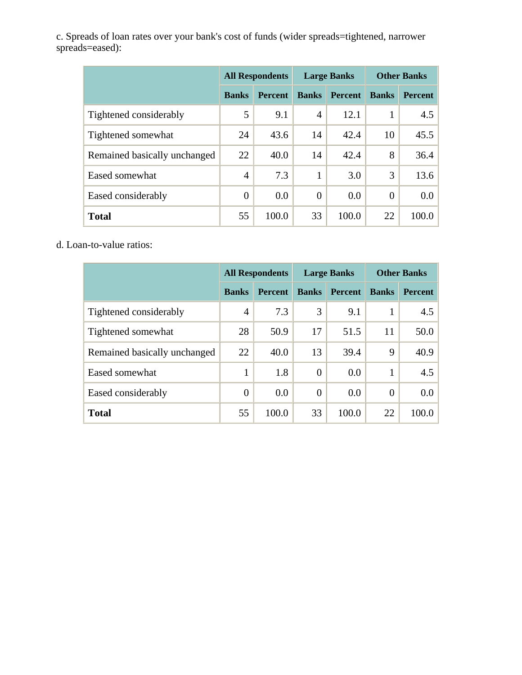c. Spreads of loan rates over your bank's cost of funds (wider spreads=tightened, narrower spreads=eased):

|                              | <b>All Respondents</b> |                |                | <b>Large Banks</b> | <b>Other Banks</b> |                |  |
|------------------------------|------------------------|----------------|----------------|--------------------|--------------------|----------------|--|
|                              | <b>Banks</b>           | <b>Percent</b> | <b>Banks</b>   | <b>Percent</b>     | <b>Banks</b>       | <b>Percent</b> |  |
| Tightened considerably       | 5                      | 9.1            | $\overline{A}$ | 12.1               |                    | 4.5            |  |
| Tightened somewhat           | 24                     | 43.6           | 14             | 42.4               | 10                 | 45.5           |  |
| Remained basically unchanged | 22                     | 40.0           | 14             | 42.4               | 8                  | 36.4           |  |
| Eased somewhat               | $\overline{4}$         | 7.3            | 1              | 3.0                | 3                  | 13.6           |  |
| Eased considerably           | $\overline{0}$         | 0.0            | $\theta$       | 0.0                | $\theta$           | $0.0\,$        |  |
| <b>Total</b>                 | 55                     | 100.0          | 33             | 100.0              | 22                 | 100.0          |  |

d. Loan-to-value ratios:

|                              | <b>All Respondents</b> |                |                | <b>Large Banks</b> | <b>Other Banks</b> |                |
|------------------------------|------------------------|----------------|----------------|--------------------|--------------------|----------------|
|                              | <b>Banks</b>           | <b>Percent</b> | <b>Banks</b>   | <b>Percent</b>     | <b>Banks</b>       | <b>Percent</b> |
| Tightened considerably       | 4                      | 7.3            | 3              | 9.1                | 1                  | 4.5            |
| Tightened somewhat           | 28                     | 50.9           | 17             | 51.5               | 11                 | 50.0           |
| Remained basically unchanged | 22                     | 40.0           | 13             | 39.4               | 9                  | 40.9           |
| Eased somewhat               | 1                      | 1.8            | $\overline{0}$ | 0.0                | 1                  | 4.5            |
| Eased considerably           | $\theta$               | 0.0            | $\theta$       | 0.0                | $\theta$           | 0.0            |
| <b>Total</b>                 | 55                     | 100.0          | 33             | 100.0              | 22                 | 100.0          |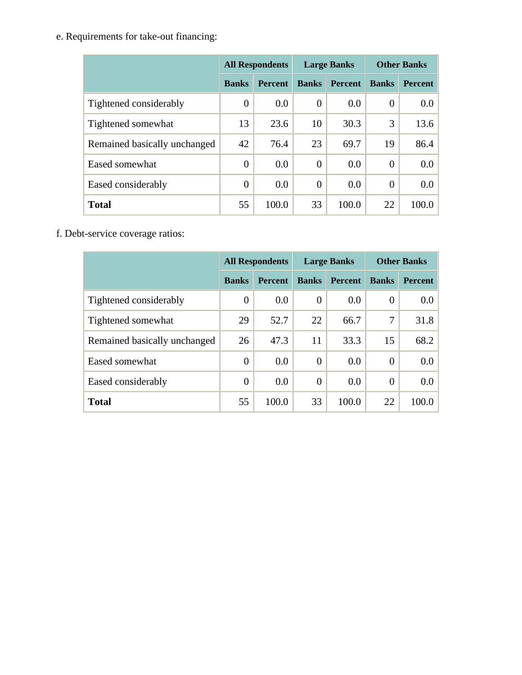e. Requirements for take-out financing:

|                              | <b>All Respondents</b> |                |                | <b>Large Banks</b> | <b>Other Banks</b> |                |  |
|------------------------------|------------------------|----------------|----------------|--------------------|--------------------|----------------|--|
|                              | <b>Banks</b>           | <b>Percent</b> | <b>Banks</b>   | <b>Percent</b>     | <b>Banks</b>       | <b>Percent</b> |  |
| Tightened considerably       | $\overline{0}$         | 0.0            | $\overline{0}$ | 0.0                | $\theta$           | $0.0\,$        |  |
| Tightened somewhat           | 13                     | 23.6           | 10             | 30.3               | 3                  | 13.6           |  |
| Remained basically unchanged | 42                     | 76.4           | 23             | 69.7               | 19                 | 86.4           |  |
| Eased somewhat               | $\overline{0}$         | 0.0            | $\theta$       | 0.0                | $\theta$           | $0.0\,$        |  |
| Eased considerably           | $\overline{0}$         | 0.0            | $\overline{0}$ | 0.0                | $\theta$           | 0.0            |  |
| <b>Total</b>                 | 55                     | 100.0          | 33             | 100.0              | 22                 | 100.0          |  |

f. Debt-service coverage ratios:

|                              | <b>All Respondents</b> |                |                | <b>Large Banks</b> | <b>Other Banks</b> |                |  |
|------------------------------|------------------------|----------------|----------------|--------------------|--------------------|----------------|--|
|                              | <b>Banks</b>           | <b>Percent</b> | <b>Banks</b>   | <b>Percent</b>     | <b>Banks</b>       | <b>Percent</b> |  |
| Tightened considerably       | 0                      | 0.0            | $\overline{0}$ | 0.0                | $\overline{0}$     | 0.0            |  |
| Tightened somewhat           | 29                     | 52.7           | 22             | 66.7               | 7                  | 31.8           |  |
| Remained basically unchanged | 26                     | 47.3           | 11             | 33.3               | 15                 | 68.2           |  |
| Eased somewhat               | $\overline{0}$         | 0.0            | $\overline{0}$ | 0.0                | $\overline{0}$     | 0.0            |  |
| Eased considerably           | $\boldsymbol{0}$       | 0.0            | $\Omega$       | 0.0                | $\Omega$           | 0.0            |  |
| <b>Total</b>                 | 55                     | 100.0          | 33             | 100.0              | 22                 | 100.0          |  |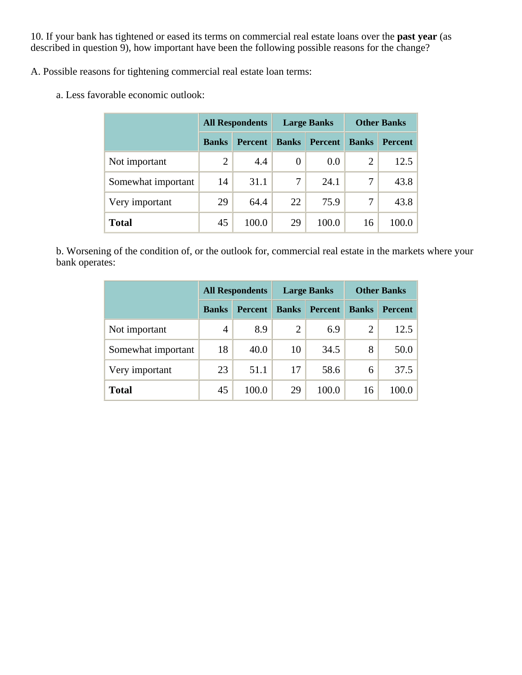10. If your bank has tightened or eased its terms on commercial real estate loans over the **past year** (as described in question 9), how important have been the following possible reasons for the change?

A. Possible reasons for tightening commercial real estate loan terms:

a. Less favorable economic outlook:

|                    | <b>All Respondents</b> |                |              | <b>Large Banks</b> | <b>Other Banks</b> |                |  |
|--------------------|------------------------|----------------|--------------|--------------------|--------------------|----------------|--|
|                    | <b>Banks</b>           | <b>Percent</b> | <b>Banks</b> | <b>Percent</b>     | <b>Banks</b>       | <b>Percent</b> |  |
| Not important      | $\overline{2}$         | 4.4            | 0            | 0.0                | 2                  | 12.5           |  |
| Somewhat important | 14                     | 31.1           | 7            | 24.1               | 7                  | 43.8           |  |
| Very important     | 29                     | 64.4           | 22           | 75.9               | 7                  | 43.8           |  |
| <b>Total</b>       | 45                     | 100.0          | 29           | 100.0              | 16                 | 100.0          |  |

b. Worsening of the condition of, or the outlook for, commercial real estate in the markets where your bank operates:

|                    | <b>All Respondents</b> |                |                | <b>Large Banks</b> | <b>Other Banks</b> |                |  |
|--------------------|------------------------|----------------|----------------|--------------------|--------------------|----------------|--|
|                    | <b>Banks</b>           | <b>Percent</b> | <b>Banks</b>   | <b>Percent</b>     | <b>Banks</b>       | <b>Percent</b> |  |
| Not important      | 4                      | 8.9            | $\overline{2}$ | 6.9                | 2                  | 12.5           |  |
| Somewhat important | 18                     | 40.0           | 10             | 34.5               | 8                  | 50.0           |  |
| Very important     | 23                     | 51.1           | 17             | 58.6               | 6                  | 37.5           |  |
| <b>Total</b>       | 45                     | 100.0          | 29             | 100.0              | 16                 | 100.0          |  |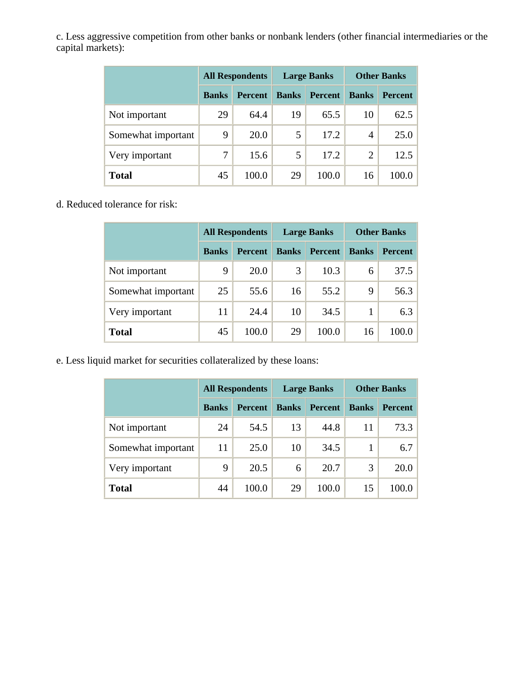c. Less aggressive competition from other banks or nonbank lenders (other financial intermediaries or the capital markets):

|                    |              | <b>All Respondents</b> |              | <b>Large Banks</b> | <b>Other Banks</b> |                |  |
|--------------------|--------------|------------------------|--------------|--------------------|--------------------|----------------|--|
|                    | <b>Banks</b> | <b>Percent</b>         | <b>Banks</b> | <b>Percent</b>     | <b>Banks</b>       | <b>Percent</b> |  |
| Not important      | 29           | 64.4                   | 19           | 65.5               | 10                 | 62.5           |  |
| Somewhat important | 9            | 20.0                   | 5            | 17.2               | 4                  | 25.0           |  |
| Very important     | 7            | 15.6                   | 5            | 17.2               | 2                  | 12.5           |  |
| <b>Total</b>       | 45           | 100.0                  | 29           | 100.0              | 16                 | 100.0          |  |

d. Reduced tolerance for risk:

|                    | <b>All Respondents</b> |                |              | <b>Large Banks</b> | <b>Other Banks</b> |                |  |
|--------------------|------------------------|----------------|--------------|--------------------|--------------------|----------------|--|
|                    | <b>Banks</b>           | <b>Percent</b> | <b>Banks</b> | <b>Percent</b>     | <b>Banks</b>       | <b>Percent</b> |  |
| Not important      | 9                      | 20.0           | 3            | 10.3               | 6                  | 37.5           |  |
| Somewhat important | 25                     | 55.6           | 16           | 55.2               | 9                  | 56.3           |  |
| Very important     | 11                     | 24.4           | 10           | 34.5               |                    | 6.3            |  |
| Total              | 45                     | 100.0          | 29           | 100.0              | 16                 | 100.0          |  |

e. Less liquid market for securities collateralized by these loans:

|                    | <b>All Respondents</b> |                |              | <b>Large Banks</b> | <b>Other Banks</b> |                |  |
|--------------------|------------------------|----------------|--------------|--------------------|--------------------|----------------|--|
|                    | <b>Banks</b>           | <b>Percent</b> | <b>Banks</b> | <b>Percent</b>     | <b>Banks</b>       | <b>Percent</b> |  |
| Not important      | 24                     | 54.5           | 13           | 44.8               | 11                 | 73.3           |  |
| Somewhat important | 11                     | 25.0           | 10           | 34.5               |                    | 6.7            |  |
| Very important     | 9                      | 20.5           | 6            | 20.7               | 3                  | 20.0           |  |
| <b>Total</b>       | 44                     | 100.0          | 29           | 100.0              | 15                 | 100.0          |  |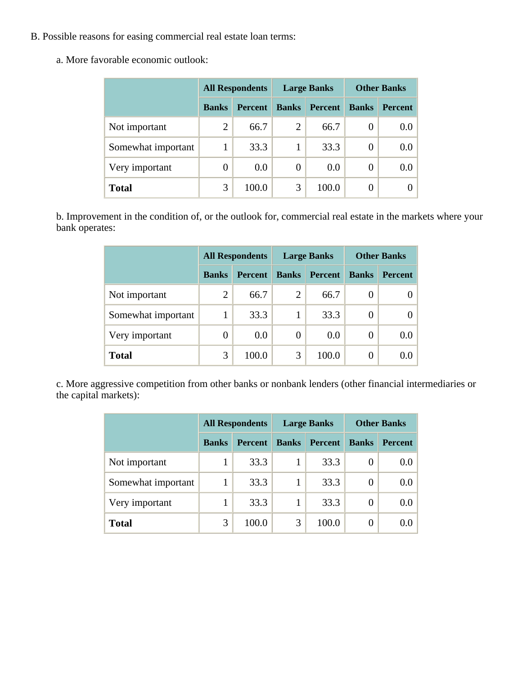- B. Possible reasons for easing commercial real estate loan terms:
	- a. More favorable economic outlook:

|                    |                | <b>All Respondents</b> |                | <b>Large Banks</b> | <b>Other Banks</b> |                |  |
|--------------------|----------------|------------------------|----------------|--------------------|--------------------|----------------|--|
|                    | <b>Banks</b>   | <b>Percent</b>         | <b>Banks</b>   | <b>Percent</b>     | <b>Banks</b>       | <b>Percent</b> |  |
| Not important      | 2              | 66.7                   | $\overline{2}$ | 66.7               | 0                  | 0.0            |  |
| Somewhat important |                | 33.3                   |                | 33.3               | 0                  | 0.0            |  |
| Very important     | $\overline{0}$ | 0.0                    | $\overline{0}$ | 0.0                | 0                  | 0.0            |  |
| <b>Total</b>       | 3              | 100.0                  | 3              | 100.0              |                    |                |  |

b. Improvement in the condition of, or the outlook for, commercial real estate in the markets where your bank operates:

|                    |              | <b>All Respondents</b> |                | <b>Large Banks</b> | <b>Other Banks</b> |                |  |
|--------------------|--------------|------------------------|----------------|--------------------|--------------------|----------------|--|
|                    | <b>Banks</b> | <b>Percent</b>         | <b>Banks</b>   | <b>Percent</b>     | <b>Banks</b>       | <b>Percent</b> |  |
| Not important      | 2            | 66.7                   | $\overline{2}$ | 66.7               | $\theta$           |                |  |
| Somewhat important |              | 33.3                   | 1              | 33.3               | $\boldsymbol{0}$   |                |  |
| Very important     | 0            | 0.0                    | 0              | 0.0                | 0                  | 0.0            |  |
| <b>Total</b>       | 3            | 100.0                  | 3              | 100.0              | $\Omega$           | 0.0            |  |

c. More aggressive competition from other banks or nonbank lenders (other financial intermediaries or the capital markets):

|                    |              | <b>All Respondents</b> |              | <b>Large Banks</b> | <b>Other Banks</b> |                |  |
|--------------------|--------------|------------------------|--------------|--------------------|--------------------|----------------|--|
|                    | <b>Banks</b> | <b>Percent</b>         | <b>Banks</b> | <b>Percent</b>     | <b>Banks</b>       | <b>Percent</b> |  |
| Not important      |              | 33.3                   |              | 33.3               |                    | 0.0            |  |
| Somewhat important |              | 33.3                   |              | 33.3               | 0                  | 0.0            |  |
| Very important     |              | 33.3                   |              | 33.3               | $\theta$           | 0.0            |  |
| <b>Total</b>       | 3            | 100.0                  | 3            | 100.0              |                    | 0.0            |  |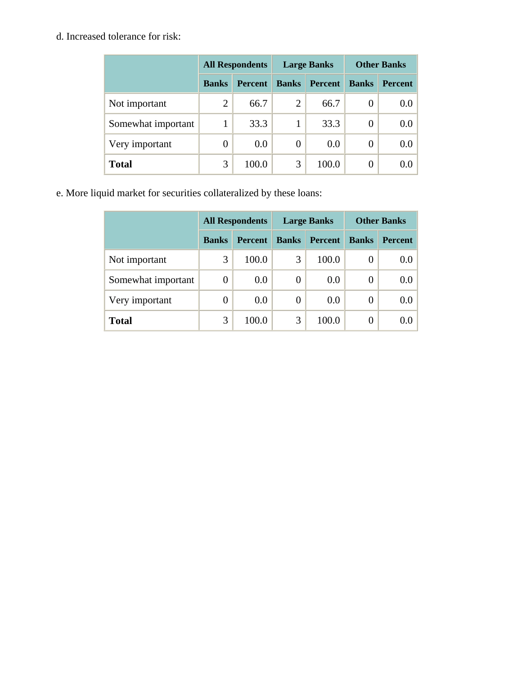#### d. Increased tolerance for risk:

|                    |                | <b>All Respondents</b> |                | <b>Large Banks</b> | <b>Other Banks</b> |                |  |
|--------------------|----------------|------------------------|----------------|--------------------|--------------------|----------------|--|
|                    | <b>Banks</b>   | <b>Percent</b>         | <b>Banks</b>   | <b>Percent</b>     | <b>Banks</b>       | <b>Percent</b> |  |
| Not important      | $\overline{2}$ | 66.7                   | $\overline{2}$ | 66.7               | $\theta$           | 0.0            |  |
| Somewhat important |                | 33.3                   |                | 33.3               | 0                  | 0.0            |  |
| Very important     | 0              | 0.0                    | 0              | 0.0                | 0                  | 0.0            |  |
| <b>Total</b>       | 3              | 100.0                  | 3              | 100.0              | 0                  | 0.0            |  |

e. More liquid market for securities collateralized by these loans:

|                    |              | <b>All Respondents</b> |              | <b>Large Banks</b> | <b>Other Banks</b> |                |  |
|--------------------|--------------|------------------------|--------------|--------------------|--------------------|----------------|--|
|                    | <b>Banks</b> | <b>Percent</b>         | <b>Banks</b> | <b>Percent</b>     | <b>Banks</b>       | <b>Percent</b> |  |
| Not important      | 3            | 100.0                  | 3            | 100.0              | 0                  | 0.0            |  |
| Somewhat important | 0            | 0.0                    | 0            | 0.0                | 0                  | 0.0            |  |
| Very important     | 0            | 0.0                    | 0            | 0.0                | 0                  | 0.0            |  |
| <b>Total</b>       | 3            | 100.0                  | 3            | 100.0              | 0                  | 0.0            |  |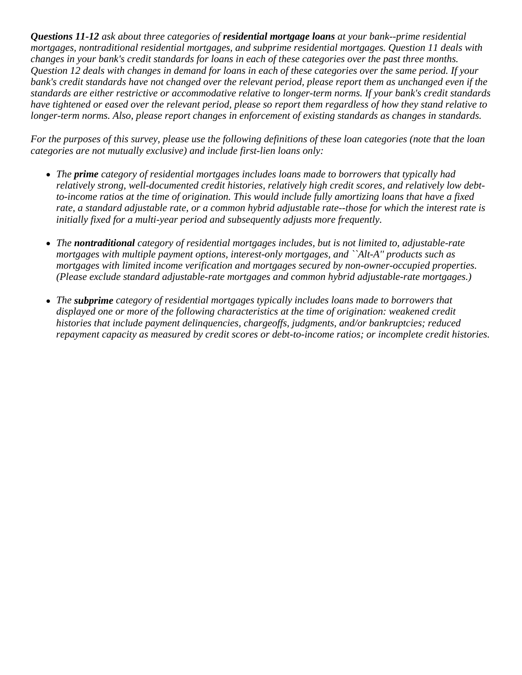*Questions 11-12 ask about three categories of residential mortgage loans at your bank--prime residential mortgages, nontraditional residential mortgages, and subprime residential mortgages. Question 11 deals with changes in your bank's credit standards for loans in each of these categories over the past three months. Question 12 deals with changes in demand for loans in each of these categories over the same period. If your bank's credit standards have not changed over the relevant period, please report them as unchanged even if the standards are either restrictive or accommodative relative to longer-term norms. If your bank's credit standards have tightened or eased over the relevant period, please so report them regardless of how they stand relative to longer-term norms. Also, please report changes in enforcement of existing standards as changes in standards.* 

*For the purposes of this survey, please use the following definitions of these loan categories (note that the loan categories are not mutually exclusive) and include first-lien loans only:*

- The **prime** category of residential mortgages includes loans made to borrowers that typically had *relatively strong, well-documented credit histories, relatively high credit scores, and relatively low debtto-income ratios at the time of origination. This would include fully amortizing loans that have a fixed rate, a standard adjustable rate, or a common hybrid adjustable rate--those for which the interest rate is initially fixed for a multi-year period and subsequently adjusts more frequently.*
- The **nontraditional** category of residential mortgages includes, but is not limited to, adjustable-rate *mortgages with multiple payment options, interest-only mortgages, and ``Alt-A'' products such as mortgages with limited income verification and mortgages secured by non-owner-occupied properties. (Please exclude standard adjustable-rate mortgages and common hybrid adjustable-rate mortgages.)*
- The *subprime* category of residential mortgages typically includes loans made to borrowers that *displayed one or more of the following characteristics at the time of origination: weakened credit histories that include payment delinquencies, chargeoffs, judgments, and/or bankruptcies; reduced repayment capacity as measured by credit scores or debt-to-income ratios; or incomplete credit histories.*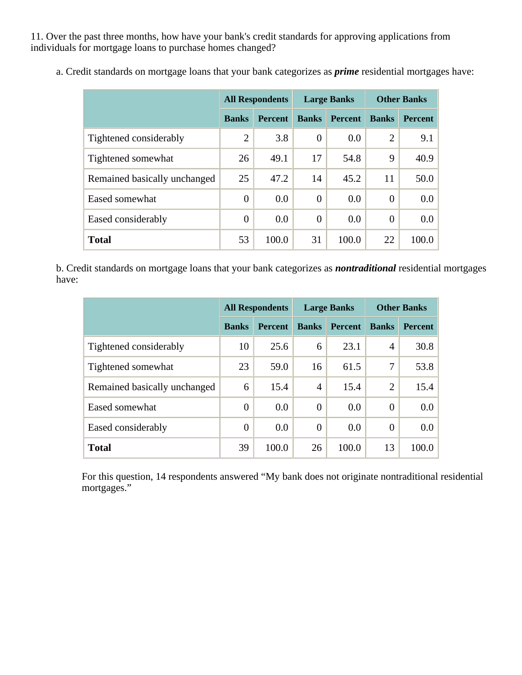11. Over the past three months, how have your bank's credit standards for approving applications from individuals for mortgage loans to purchase homes changed?

|                              | <b>All Respondents</b> |                |                | <b>Large Banks</b> | <b>Other Banks</b> |                |  |
|------------------------------|------------------------|----------------|----------------|--------------------|--------------------|----------------|--|
|                              | <b>Banks</b>           | <b>Percent</b> | <b>Banks</b>   | <b>Percent</b>     | <b>Banks</b>       | <b>Percent</b> |  |
| Tightened considerably       | $\overline{2}$         | 3.8            | $\overline{0}$ | 0.0                | 2                  | 9.1            |  |
| Tightened somewhat           | 26                     | 49.1           | 17             | 54.8               | 9                  | 40.9           |  |
| Remained basically unchanged | 25                     | 47.2           | 14             | 45.2               | 11                 | 50.0           |  |
| Eased somewhat               | $\overline{0}$         | 0.0            | $\theta$       | 0.0                | $\Omega$           | 0.0            |  |
| Eased considerably           | $\overline{0}$         | 0.0            | $\theta$       | 0.0                | $\theta$           | 0.0            |  |
| <b>Total</b>                 | 53                     | 100.0          | 31             | 100.0              | 22                 | 100.0          |  |

a. Credit standards on mortgage loans that your bank categorizes as *prime* residential mortgages have:

b. Credit standards on mortgage loans that your bank categorizes as *nontraditional* residential mortgages have:

|                              | <b>All Respondents</b> |                |                | <b>Large Banks</b> | <b>Other Banks</b> |                |  |
|------------------------------|------------------------|----------------|----------------|--------------------|--------------------|----------------|--|
|                              | <b>Banks</b>           | <b>Percent</b> | <b>Banks</b>   | <b>Percent</b>     | <b>Banks</b>       | <b>Percent</b> |  |
| Tightened considerably       | 10                     | 25.6           | 6              | 23.1               | 4                  | 30.8           |  |
| Tightened somewhat           | 23                     | 59.0           | 16             | 61.5               | 7                  | 53.8           |  |
| Remained basically unchanged | 6                      | 15.4           | 4              | 15.4               | $\overline{2}$     | 15.4           |  |
| Eased somewhat               | $\overline{0}$         | 0.0            | $\theta$       | 0.0                | $\Omega$           | 0.0            |  |
| Eased considerably           | $\overline{0}$         | 0.0            | $\overline{0}$ | 0.0                | 0                  | 0.0            |  |
| <b>Total</b>                 | 39                     | 100.0          | 26             | 100.0              | 13                 | 100.0          |  |

For this question, 14 respondents answered "My bank does not originate nontraditional residential mortgages."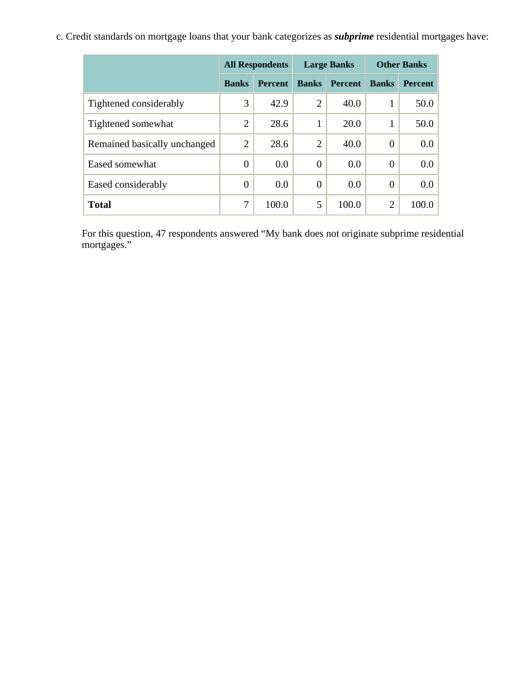c. Credit standards on mortgage loans that your bank categorizes as *subprime* residential mortgages have:

|                              | <b>All Respondents</b> |                |                | <b>Large Banks</b> | <b>Other Banks</b> |                |  |
|------------------------------|------------------------|----------------|----------------|--------------------|--------------------|----------------|--|
|                              | <b>Banks</b>           | <b>Percent</b> | <b>Banks</b>   | <b>Percent</b>     | <b>Banks</b>       | <b>Percent</b> |  |
| Tightened considerably       | 3                      | 42.9           | $\overline{2}$ | 40.0               | 1                  | 50.0           |  |
| Tightened somewhat           | $\overline{2}$         | 28.6           | 1              | 20.0               |                    | 50.0           |  |
| Remained basically unchanged | $\overline{2}$         | 28.6           | $\overline{2}$ | 40.0               | $\overline{0}$     | 0.0            |  |
| Eased somewhat               | $\theta$               | 0.0            | $\overline{0}$ | 0.0                | $\overline{0}$     | 0.0            |  |
| Eased considerably           | $\theta$               | 0.0            | $\overline{0}$ | 0.0                | $\overline{0}$     | 0.0            |  |
| <b>Total</b>                 | 7                      | 100.0          | 5              | 100.0              | $\overline{2}$     | 100.0          |  |

For this question, 47 respondents answered "My bank does not originate subprime residential mortgages."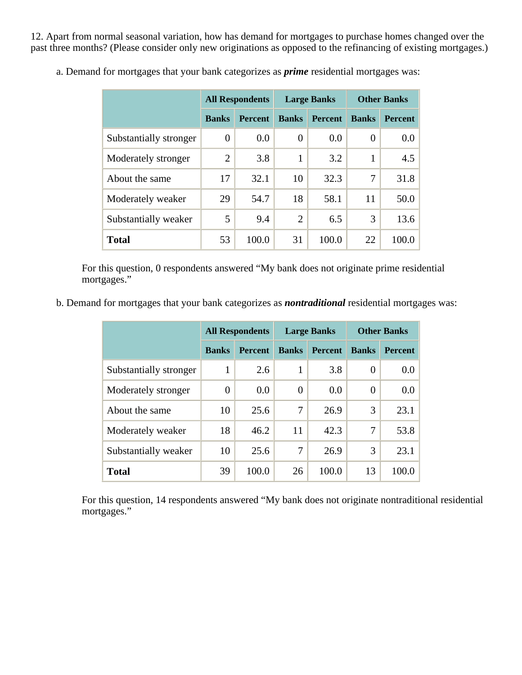12. Apart from normal seasonal variation, how has demand for mortgages to purchase homes changed over the past three months? (Please consider only new originations as opposed to the refinancing of existing mortgages.)

|                        | <b>All Respondents</b> |                |                | <b>Large Banks</b> | <b>Other Banks</b> |                |  |
|------------------------|------------------------|----------------|----------------|--------------------|--------------------|----------------|--|
|                        | <b>Banks</b>           | <b>Percent</b> | <b>Banks</b>   | <b>Percent</b>     | <b>Banks</b>       | <b>Percent</b> |  |
| Substantially stronger | $\overline{0}$         | 0.0            | 0              | 0.0                | $\Omega$           | 0.0            |  |
| Moderately stronger    | $\overline{2}$         | 3.8            | 1              | 3.2                | 1                  | 4.5            |  |
| About the same         | 17                     | 32.1           | 10             | 32.3               | 7                  | 31.8           |  |
| Moderately weaker      | 29                     | 54.7           | 18             | 58.1               | 11                 | 50.0           |  |
| Substantially weaker   | 5                      | 9.4            | $\overline{2}$ | 6.5                | 3                  | 13.6           |  |
| <b>Total</b>           | 53                     | 100.0          | 31             | 100.0              | 22                 | 100.0          |  |

a. Demand for mortgages that your bank categorizes as *prime* residential mortgages was:

For this question, 0 respondents answered "My bank does not originate prime residential mortgages."

b. Demand for mortgages that your bank categorizes as *nontraditional* residential mortgages was:

|                        | <b>All Respondents</b> |                |              | <b>Large Banks</b> | <b>Other Banks</b> |                |  |
|------------------------|------------------------|----------------|--------------|--------------------|--------------------|----------------|--|
|                        | <b>Banks</b>           | <b>Percent</b> | <b>Banks</b> | <b>Percent</b>     | <b>Banks</b>       | <b>Percent</b> |  |
| Substantially stronger | 1                      | 2.6            | 1            | 3.8                | $\Omega$           | 0.0            |  |
| Moderately stronger    | $\theta$               | 0.0            | $\Omega$     | 0.0                | $\Omega$           | 0.0            |  |
| About the same         | 10                     | 25.6           | 7            | 26.9               | 3                  | 23.1           |  |
| Moderately weaker      | 18                     | 46.2           | 11           | 42.3               | 7                  | 53.8           |  |
| Substantially weaker   | 10                     | 25.6           | 7            | 26.9               | 3                  | 23.1           |  |
| <b>Total</b>           | 39                     | 100.0          | 26           | 100.0              | 13                 | 100.0          |  |

For this question, 14 respondents answered "My bank does not originate nontraditional residential mortgages."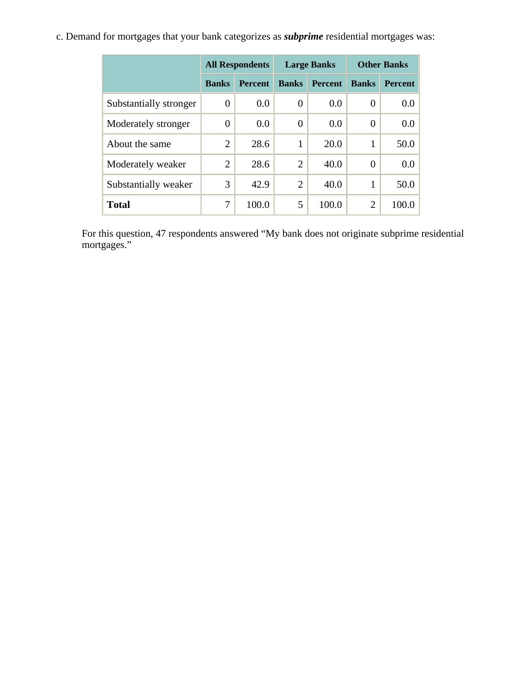c. Demand for mortgages that your bank categorizes as *subprime* residential mortgages was:

|                        | <b>All Respondents</b> |                |                | <b>Large Banks</b> | <b>Other Banks</b> |                |  |
|------------------------|------------------------|----------------|----------------|--------------------|--------------------|----------------|--|
|                        | <b>Banks</b>           | <b>Percent</b> | <b>Banks</b>   | <b>Percent</b>     | <b>Banks</b>       | <b>Percent</b> |  |
| Substantially stronger | 0                      | 0.0            | $\overline{0}$ | 0.0                | $\theta$           | 0.0            |  |
| Moderately stronger    | $\theta$               | 0.0            | $\Omega$       | 0.0                | $\theta$           | 0.0            |  |
| About the same         | 2                      | 28.6           | 1              | 20.0               |                    | 50.0           |  |
| Moderately weaker      | $\overline{2}$         | 28.6           | $\overline{2}$ | 40.0               | $\Omega$           | 0.0            |  |
| Substantially weaker   | 3                      | 42.9           | $\overline{2}$ | 40.0               | 1                  | 50.0           |  |
| <b>Total</b>           | 7                      | 100.0          | 5              | 100.0              | $\overline{2}$     | 100.0          |  |

For this question, 47 respondents answered "My bank does not originate subprime residential mortgages."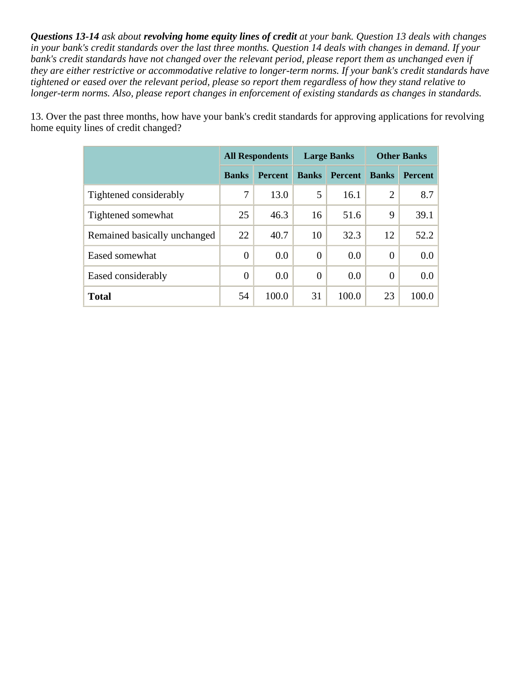*Questions 13-14 ask about revolving home equity lines of credit at your bank. Question 13 deals with changes in your bank's credit standards over the last three months. Question 14 deals with changes in demand. If your bank's credit standards have not changed over the relevant period, please report them as unchanged even if they are either restrictive or accommodative relative to longer-term norms. If your bank's credit standards have tightened or eased over the relevant period, please so report them regardless of how they stand relative to longer-term norms. Also, please report changes in enforcement of existing standards as changes in standards.* 

|                              | <b>All Respondents</b> |                |                | <b>Large Banks</b> | <b>Other Banks</b> |                |  |
|------------------------------|------------------------|----------------|----------------|--------------------|--------------------|----------------|--|
|                              | <b>Banks</b>           | <b>Percent</b> | <b>Banks</b>   | <b>Percent</b>     | <b>Banks</b>       | <b>Percent</b> |  |
| Tightened considerably       | 7                      | 13.0           | 5              | 16.1               | $\overline{2}$     | 8.7            |  |
| Tightened somewhat           | 25                     | 46.3           | 16             | 51.6               | 9                  | 39.1           |  |
| Remained basically unchanged | 22                     | 40.7           | 10             | 32.3               | 12                 | 52.2           |  |
| Eased somewhat               | $\overline{0}$         | 0.0            | $\overline{0}$ | 0.0                | $\theta$           | $0.0\,$        |  |
| Eased considerably           | $\theta$               | 0.0            | $\overline{0}$ | 0.0                | $\Omega$           | $0.0\,$        |  |
| <b>Total</b>                 | 54                     | 100.0          | 31             | 100.0              | 23                 | 100.0          |  |

13. Over the past three months, how have your bank's credit standards for approving applications for revolving home equity lines of credit changed?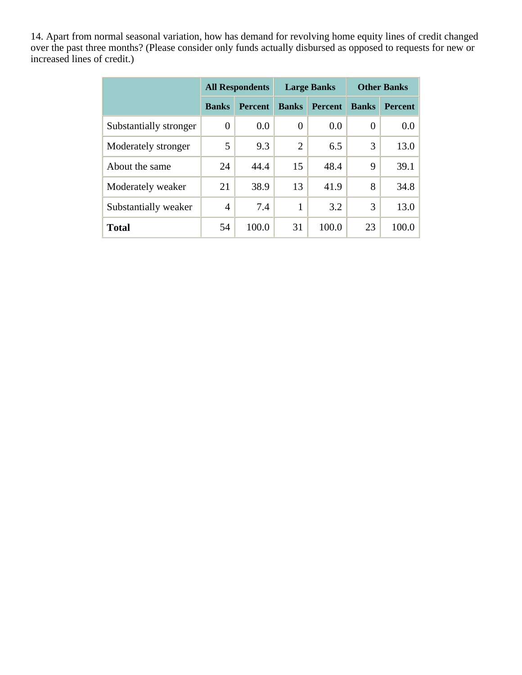14. Apart from normal seasonal variation, how has demand for revolving home equity lines of credit changed over the past three months? (Please consider only funds actually disbursed as opposed to requests for new or increased lines of credit.)

|                        | <b>All Respondents</b> |                |                | <b>Large Banks</b> | <b>Other Banks</b> |                |  |
|------------------------|------------------------|----------------|----------------|--------------------|--------------------|----------------|--|
|                        | <b>Banks</b>           | <b>Percent</b> | <b>Banks</b>   | <b>Percent</b>     | <b>Banks</b>       | <b>Percent</b> |  |
| Substantially stronger | 0                      | 0.0            | $\theta$       | 0.0                | $\boldsymbol{0}$   | 0.0            |  |
| Moderately stronger    | 5                      | 9.3            | $\overline{2}$ | 6.5                | 3                  | 13.0           |  |
| About the same         | 24                     | 44.4           | 15             | 48.4               | 9                  | 39.1           |  |
| Moderately weaker      | 21                     | 38.9           | 13             | 41.9               | 8                  | 34.8           |  |
| Substantially weaker   | 4                      | 7.4            | 1              | 3.2                | 3                  | 13.0           |  |
| <b>Total</b>           | 54                     | 100.0          | 31             | 100.0              | 23                 | 100.0          |  |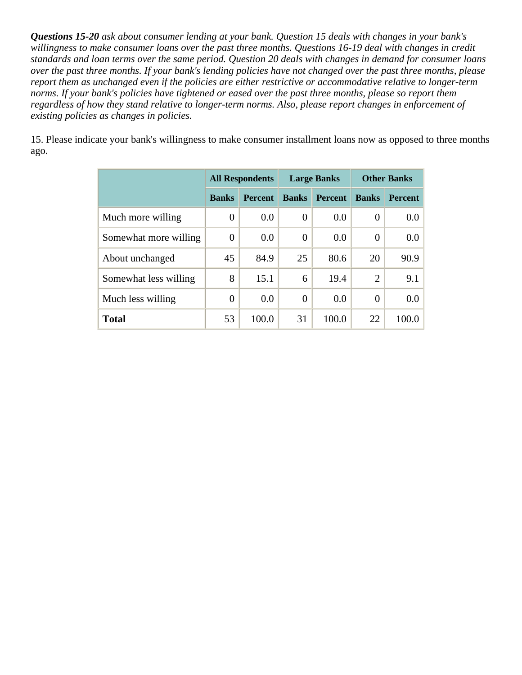*Questions 15-20 ask about consumer lending at your bank. Question 15 deals with changes in your bank's willingness to make consumer loans over the past three months. Questions 16-19 deal with changes in credit standards and loan terms over the same period. Question 20 deals with changes in demand for consumer loans over the past three months. If your bank's lending policies have not changed over the past three months, please report them as unchanged even if the policies are either restrictive or accommodative relative to longer-term norms. If your bank's policies have tightened or eased over the past three months, please so report them regardless of how they stand relative to longer-term norms. Also, please report changes in enforcement of existing policies as changes in policies.* 

15. Please indicate your bank's willingness to make consumer installment loans now as opposed to three months ago.

|                       |                | <b>All Respondents</b> |              | <b>Large Banks</b> | <b>Other Banks</b> |                |  |
|-----------------------|----------------|------------------------|--------------|--------------------|--------------------|----------------|--|
|                       | <b>Banks</b>   | <b>Percent</b>         | <b>Banks</b> | <b>Percent</b>     | <b>Banks</b>       | <b>Percent</b> |  |
| Much more willing     | $\overline{0}$ | 0.0                    | $\Omega$     | 0.0                | $\overline{0}$     | 0.0            |  |
| Somewhat more willing | $\theta$       | 0.0                    | $\Omega$     | 0.0                | 0                  | 0.0            |  |
| About unchanged       | 45             | 84.9                   | 25           | 80.6               | 20                 | 90.9           |  |
| Somewhat less willing | 8              | 15.1                   | 6            | 19.4               | $\overline{2}$     | 9.1            |  |
| Much less willing     | $\overline{0}$ | 0.0                    | $\theta$     | 0.0                | $\overline{0}$     | 0.0            |  |
| <b>Total</b>          | 53             | 100.0                  | 31           | 100.0              | 22                 | 100.0          |  |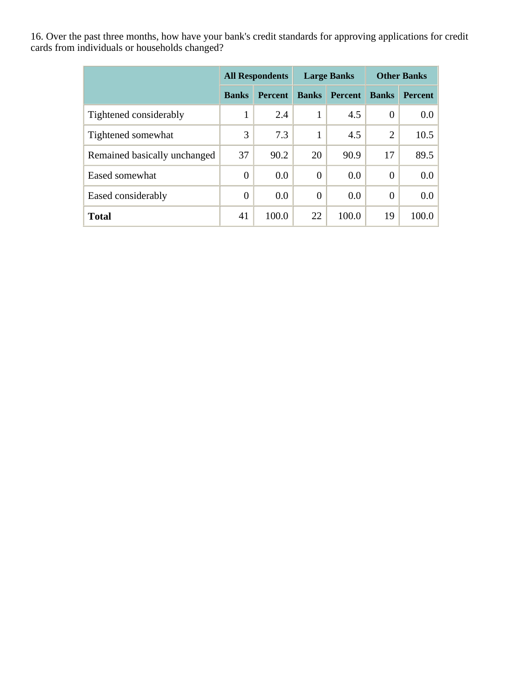16. Over the past three months, how have your bank's credit standards for approving applications for credit cards from individuals or households changed?

|                              | <b>All Respondents</b> |                | <b>Large Banks</b> |                | <b>Other Banks</b> |                  |
|------------------------------|------------------------|----------------|--------------------|----------------|--------------------|------------------|
|                              | <b>Banks</b>           | <b>Percent</b> | <b>Banks</b>       | <b>Percent</b> | <b>Banks</b>       | <b>Percent</b>   |
| Tightened considerably       | 1                      | 2.4            | 1                  | 4.5            | $\overline{0}$     | 0.0 <sub>1</sub> |
| Tightened somewhat           | 3                      | 7.3            | 1                  | 4.5            | 2                  | 10.5             |
| Remained basically unchanged | 37                     | 90.2           | 20                 | 90.9           | 17                 | 89.5             |
| Eased somewhat               | $\overline{0}$         | 0.0            | $\theta$           | 0.0            | $\overline{0}$     | 0.0 <sub>1</sub> |
| Eased considerably           | $\overline{0}$         | 0.0            | $\theta$           | 0.0            | $\overline{0}$     | 0.0 <sub>1</sub> |
| <b>Total</b>                 | 41                     | 100.0          | 22                 | 100.0          | 19                 | 100.0            |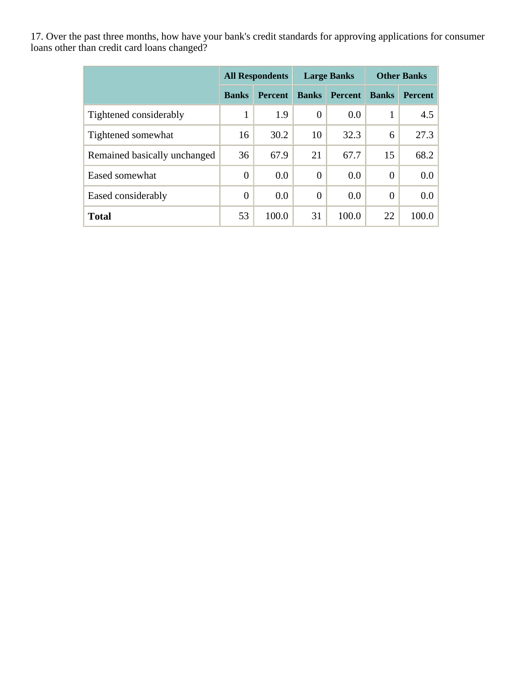17. Over the past three months, how have your bank's credit standards for approving applications for consumer loans other than credit card loans changed?

|                              | <b>All Respondents</b> |                |              | <b>Large Banks</b> | <b>Other Banks</b> |                |
|------------------------------|------------------------|----------------|--------------|--------------------|--------------------|----------------|
|                              | <b>Banks</b>           | <b>Percent</b> | <b>Banks</b> | <b>Percent</b>     | <b>Banks</b>       | <b>Percent</b> |
| Tightened considerably       | 1                      | 1.9            | $\theta$     | 0.0                |                    | 4.5            |
| Tightened somewhat           | 16                     | 30.2           | 10           | 32.3               | 6                  | 27.3           |
| Remained basically unchanged | 36                     | 67.9           | 21           | 67.7               | 15                 | 68.2           |
| Eased somewhat               | $\overline{0}$         | 0.0            | $\theta$     | 0.0                | $\overline{0}$     | $0.0\,$        |
| Eased considerably           | $\overline{0}$         | 0.0            | $\theta$     | 0.0                | $\overline{0}$     | $0.0\,$        |
| <b>Total</b>                 | 53                     | 100.0          | 31           | 100.0              | 22                 | 100.0          |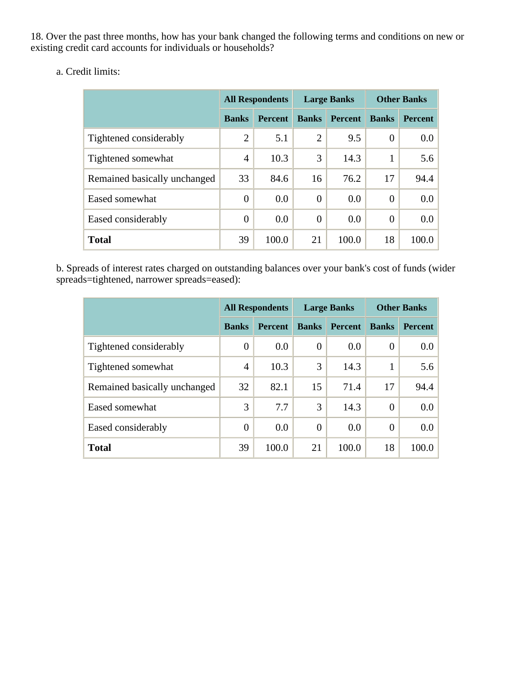18. Over the past three months, how has your bank changed the following terms and conditions on new or existing credit card accounts for individuals or households?

a. Credit limits:

|                              | <b>All Respondents</b> |                |                | <b>Large Banks</b> | <b>Other Banks</b> |                |
|------------------------------|------------------------|----------------|----------------|--------------------|--------------------|----------------|
|                              | <b>Banks</b>           | <b>Percent</b> | <b>Banks</b>   | <b>Percent</b>     | <b>Banks</b>       | <b>Percent</b> |
| Tightened considerably       | $\overline{2}$         | 5.1            | $\overline{2}$ | 9.5                | $\Omega$           | 0.0            |
| Tightened somewhat           | 4                      | 10.3           | 3              | 14.3               |                    | 5.6            |
| Remained basically unchanged | 33                     | 84.6           | 16             | 76.2               | 17                 | 94.4           |
| Eased somewhat               | $\overline{0}$         | 0.0            | $\overline{0}$ | 0.0                | $\Omega$           | 0.0            |
| Eased considerably           | $\overline{0}$         | 0.0            | $\overline{0}$ | 0.0                | $\overline{0}$     | 0.0            |
| <b>Total</b>                 | 39                     | 100.0          | 21             | 100.0              | 18                 | 100.0          |

b. Spreads of interest rates charged on outstanding balances over your bank's cost of funds (wider spreads=tightened, narrower spreads=eased):

|                              | <b>All Respondents</b> |                |                | <b>Large Banks</b> | <b>Other Banks</b> |                |
|------------------------------|------------------------|----------------|----------------|--------------------|--------------------|----------------|
|                              | <b>Banks</b>           | <b>Percent</b> | <b>Banks</b>   | <b>Percent</b>     | <b>Banks</b>       | <b>Percent</b> |
| Tightened considerably       | $\boldsymbol{0}$       | 0.0            | $\overline{0}$ | 0.0                | 0                  | 0.0            |
| Tightened somewhat           | $\overline{4}$         | 10.3           | 3              | 14.3               |                    | 5.6            |
| Remained basically unchanged | 32                     | 82.1           | 15             | 71.4               | 17                 | 94.4           |
| Eased somewhat               | 3                      | 7.7            | 3              | 14.3               | 0                  | 0.0            |
| Eased considerably           | $\theta$               | 0.0            | $\theta$       | 0.0                | 0                  | 0.0            |
| <b>Total</b>                 | 39                     | 100.0          | 21             | 100.0              | 18                 | 100.0          |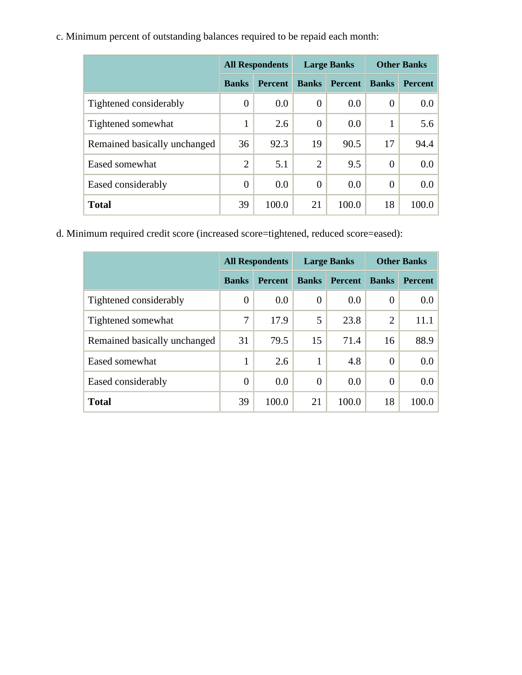c. Minimum percent of outstanding balances required to be repaid each month:

|                              | <b>All Respondents</b> |                |                | <b>Large Banks</b> | <b>Other Banks</b> |                |
|------------------------------|------------------------|----------------|----------------|--------------------|--------------------|----------------|
|                              | <b>Banks</b>           | <b>Percent</b> | <b>Banks</b>   | <b>Percent</b>     | <b>Banks</b>       | <b>Percent</b> |
| Tightened considerably       | $\boldsymbol{0}$       | 0.0            | $\theta$       | 0.0                | $\theta$           | 0.0            |
| Tightened somewhat           | 1                      | 2.6            | $\theta$       | 0.0                |                    | 5.6            |
| Remained basically unchanged | 36                     | 92.3           | 19             | 90.5               | 17                 | 94.4           |
| Eased somewhat               | $\overline{2}$         | 5.1            | $\overline{2}$ | 9.5                | $\overline{0}$     | 0.0            |
| Eased considerably           | $\overline{0}$         | 0.0            | $\theta$       | 0.0                | $\Omega$           | 0.0            |
| <b>Total</b>                 | 39                     | 100.0          | 21             | 100.0              | 18                 | 100.0          |

d. Minimum required credit score (increased score=tightened, reduced score=eased):

|                              | <b>All Respondents</b> |                | <b>Large Banks</b> |                | <b>Other Banks</b> |                |
|------------------------------|------------------------|----------------|--------------------|----------------|--------------------|----------------|
|                              | <b>Banks</b>           | <b>Percent</b> | <b>Banks</b>       | <b>Percent</b> | <b>Banks</b>       | <b>Percent</b> |
| Tightened considerably       | $\overline{0}$         | 0.0            | $\theta$           | 0.0            | 0                  | $0.0\,$        |
| Tightened somewhat           | 7                      | 17.9           | 5                  | 23.8           | $\overline{2}$     | 11.1           |
| Remained basically unchanged | 31                     | 79.5           | 15                 | 71.4           | 16                 | 88.9           |
| Eased somewhat               | 1                      | 2.6            | 1                  | 4.8            | 0                  | 0.0            |
| Eased considerably           | $\overline{0}$         | 0.0            | $\overline{0}$     | 0.0            | $\overline{0}$     | $0.0\,$        |
| <b>Total</b>                 | 39                     | 100.0          | 21                 | 100.0          | 18                 | 100.0          |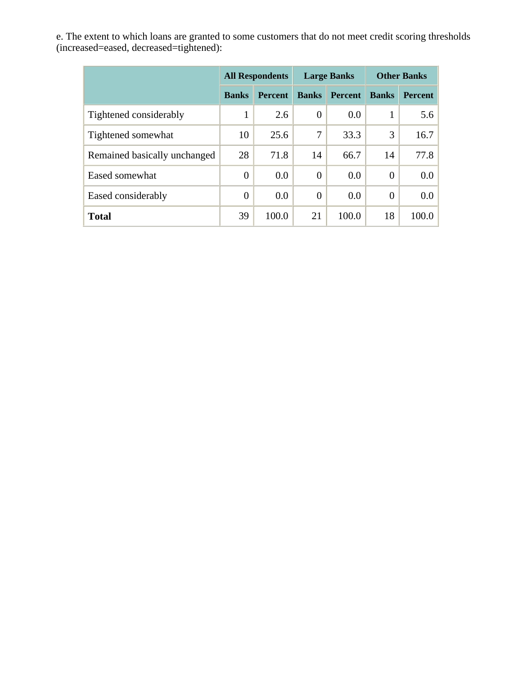e. The extent to which loans are granted to some customers that do not meet credit scoring thresholds (increased=eased, decreased=tightened):

|                              | <b>All Respondents</b> |                | <b>Large Banks</b> |                | <b>Other Banks</b> |                  |
|------------------------------|------------------------|----------------|--------------------|----------------|--------------------|------------------|
|                              | <b>Banks</b>           | <b>Percent</b> | <b>Banks</b>       | <b>Percent</b> | <b>Banks</b>       | <b>Percent</b>   |
| Tightened considerably       | 1                      | 2.6            | $\theta$           | 0.0            | 1                  | 5.6              |
| Tightened somewhat           | 10                     | 25.6           | 7                  | 33.3           | 3                  | 16.7             |
| Remained basically unchanged | 28                     | 71.8           | 14                 | 66.7           | 14                 | 77.8             |
| Eased somewhat               | $\overline{0}$         | 0.0            | $\theta$           | 0.0            | $\theta$           | 0.0 <sub>1</sub> |
| Eased considerably           | $\overline{0}$         | 0.0            | $\theta$           | 0.0            | $\theta$           | 0.0 <sub>1</sub> |
| <b>Total</b>                 | 39                     | 100.0          | 21                 | 100.0          | 18                 | 100.0            |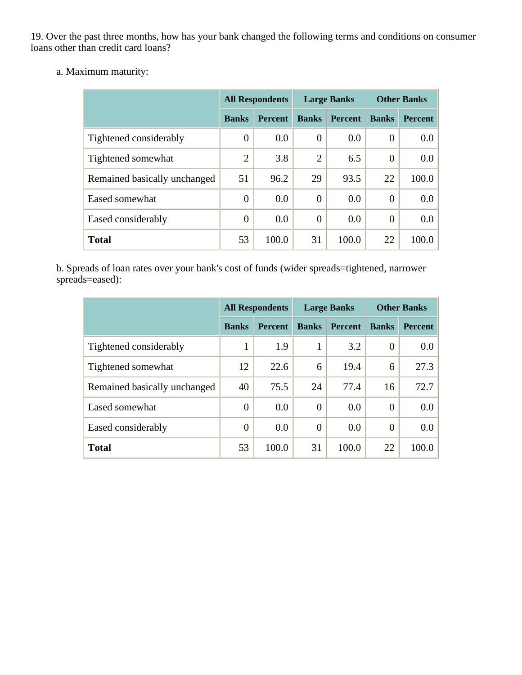19. Over the past three months, how has your bank changed the following terms and conditions on consumer loans other than credit card loans?

a. Maximum maturity:

|                              | <b>All Respondents</b> |                |                | <b>Large Banks</b> | <b>Other Banks</b> |                |
|------------------------------|------------------------|----------------|----------------|--------------------|--------------------|----------------|
|                              | <b>Banks</b>           | <b>Percent</b> | <b>Banks</b>   | <b>Percent</b>     | <b>Banks</b>       | <b>Percent</b> |
| Tightened considerably       | $\boldsymbol{0}$       | 0.0            | $\overline{0}$ | 0.0                | $\theta$           | $0.0\,$        |
| Tightened somewhat           | $\overline{2}$         | 3.8            | $\overline{2}$ | 6.5                | $\overline{0}$     | 0.0            |
| Remained basically unchanged | 51                     | 96.2           | 29             | 93.5               | 22                 | 100.0          |
| Eased somewhat               | $\overline{0}$         | 0.0            | $\overline{0}$ | 0.0                | $\overline{0}$     | 0.0            |
| Eased considerably           | $\overline{0}$         | 0.0            | $\overline{0}$ | 0.0                | $\overline{0}$     | 0.0            |
| <b>Total</b>                 | 53                     | 100.0          | 31             | 100.0              | 22                 | 100.0          |

b. Spreads of loan rates over your bank's cost of funds (wider spreads=tightened, narrower spreads=eased):

|                              | <b>All Respondents</b> |                |                | <b>Large Banks</b> | <b>Other Banks</b> |                  |
|------------------------------|------------------------|----------------|----------------|--------------------|--------------------|------------------|
|                              | <b>Banks</b>           | <b>Percent</b> | <b>Banks</b>   | <b>Percent</b>     | <b>Banks</b>       | <b>Percent</b>   |
| Tightened considerably       | 1                      | 1.9            | 1              | 3.2                | $\theta$           | 0.0 <sub>1</sub> |
| Tightened somewhat           | 12                     | 22.6           | 6              | 19.4               | 6                  | 27.3             |
| Remained basically unchanged | 40                     | 75.5           | 24             | 77.4               | 16                 | 72.7             |
| Eased somewhat               | $\overline{0}$         | 0.0            | $\overline{0}$ | 0.0                | $\overline{0}$     | 0.0 <sub>1</sub> |
| Eased considerably           | $\overline{0}$         | 0.0            | $\Omega$       | 0.0                | $\theta$           | 0.0 <sub>1</sub> |
| <b>Total</b>                 | 53                     | 100.0          | 31             | 100.0              | 22                 | 100.0            |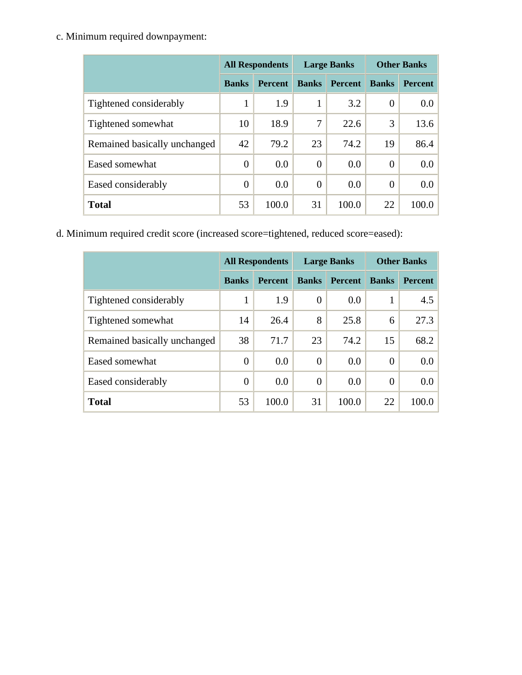c. Minimum required downpayment:

|                              | <b>All Respondents</b> |                |              | <b>Large Banks</b> | <b>Other Banks</b> |                |
|------------------------------|------------------------|----------------|--------------|--------------------|--------------------|----------------|
|                              | <b>Banks</b>           | <b>Percent</b> | <b>Banks</b> | <b>Percent</b>     | <b>Banks</b>       | <b>Percent</b> |
| Tightened considerably       | 1                      | 1.9            | 1            | 3.2                | $\theta$           | $0.0\,$        |
| Tightened somewhat           | 10                     | 18.9           | 7            | 22.6               | 3                  | 13.6           |
| Remained basically unchanged | 42                     | 79.2           | 23           | 74.2               | 19                 | 86.4           |
| Eased somewhat               | $\overline{0}$         | 0.0            | $\theta$     | 0.0                | $\theta$           | 0.0            |
| Eased considerably           | $\theta$               | 0.0            | $\Omega$     | 0.0                | $\theta$           | 0.0            |
| <b>Total</b>                 | 53                     | 100.0          | 31           | 100.0              | 22                 | 100.0          |

d. Minimum required credit score (increased score=tightened, reduced score=eased):

|                              | <b>All Respondents</b> |                |                | <b>Large Banks</b> | <b>Other Banks</b> |                |  |
|------------------------------|------------------------|----------------|----------------|--------------------|--------------------|----------------|--|
|                              | <b>Banks</b>           | <b>Percent</b> | <b>Banks</b>   | <b>Percent</b>     | <b>Banks</b>       | <b>Percent</b> |  |
| Tightened considerably       | 1                      | 1.9            | $\theta$       | 0.0                |                    | 4.5            |  |
| Tightened somewhat           | 14                     | 26.4           | 8              | 25.8               | 6                  | 27.3           |  |
| Remained basically unchanged | 38                     | 71.7           | 23             | 74.2               | 15                 | 68.2           |  |
| Eased somewhat               | $\theta$               | 0.0            | $\theta$       | 0.0                | 0                  | 0.0            |  |
| Eased considerably           | $\overline{0}$         | 0.0            | $\overline{0}$ | 0.0                | $\overline{0}$     | $0.0\,$        |  |
| <b>Total</b>                 | 53                     | 100.0          | 31             | 100.0              | 22                 | 100.0          |  |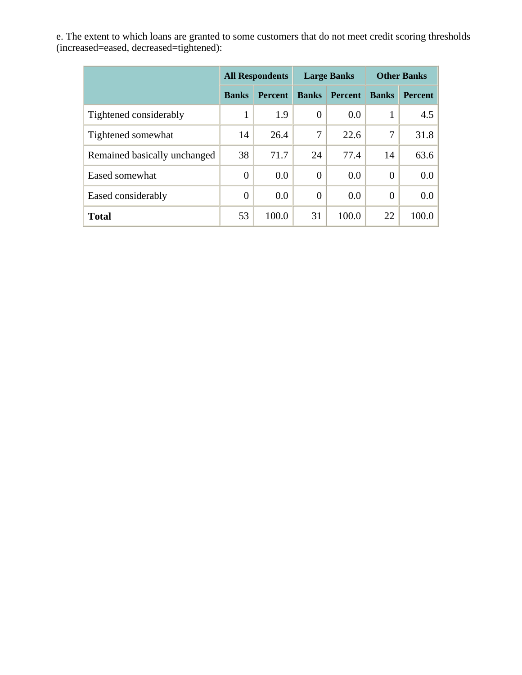e. The extent to which loans are granted to some customers that do not meet credit scoring thresholds (increased=eased, decreased=tightened):

|                              | <b>All Respondents</b> |                |                | <b>Large Banks</b> | <b>Other Banks</b> |                  |  |
|------------------------------|------------------------|----------------|----------------|--------------------|--------------------|------------------|--|
|                              | <b>Banks</b>           | <b>Percent</b> | <b>Banks</b>   | <b>Percent</b>     | <b>Banks</b>       | <b>Percent</b>   |  |
| Tightened considerably       | 1                      | 1.9            | $\overline{0}$ | 0.0                | 1                  | 4.5              |  |
| Tightened somewhat           | 14                     | 26.4           | 7              | 22.6               | 7                  | 31.8             |  |
| Remained basically unchanged | 38                     | 71.7           | 24             | 77.4               | 14                 | 63.6             |  |
| Eased somewhat               | $\overline{0}$         | 0.0            | $\theta$       | 0.0                | $\theta$           | 0.0 <sub>1</sub> |  |
| Eased considerably           | $\overline{0}$         | 0.0            | $\theta$       | 0.0                | $\theta$           | 0.0 <sub>1</sub> |  |
| <b>Total</b>                 | 53                     | 100.0          | 31             | 100.0              | 22                 | 100.0            |  |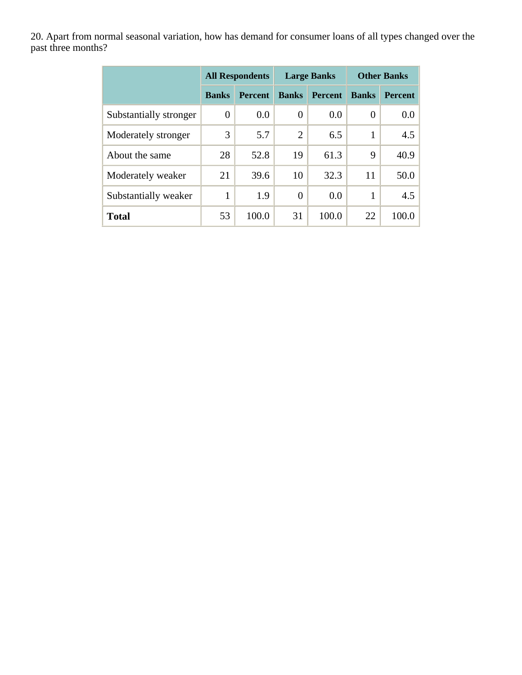20. Apart from normal seasonal variation, how has demand for consumer loans of all types changed over the past three months?

|                        | <b>All Respondents</b> |                |                | <b>Large Banks</b> | <b>Other Banks</b> |                  |  |
|------------------------|------------------------|----------------|----------------|--------------------|--------------------|------------------|--|
|                        | <b>Banks</b>           | <b>Percent</b> | <b>Banks</b>   | <b>Percent</b>     | <b>Banks</b>       | <b>Percent</b>   |  |
| Substantially stronger | 0                      | 0.0            | 0              | 0.0                | $\boldsymbol{0}$   | 0.0 <sub>1</sub> |  |
| Moderately stronger    | 3                      | 5.7            | $\overline{2}$ | 6.5                | $\mathbf{1}$       | 4.5              |  |
| About the same         | 28                     | 52.8           | 19             | 61.3               | 9                  | 40.9             |  |
| Moderately weaker      | 21                     | 39.6           | 10             | 32.3               | 11                 | 50.0             |  |
| Substantially weaker   | 1                      | 1.9            | 0              | 0.0                | 1                  | 4.5              |  |
| <b>Total</b>           | 53                     | 100.0          | 31             | 100.0              | 22                 | 100.0            |  |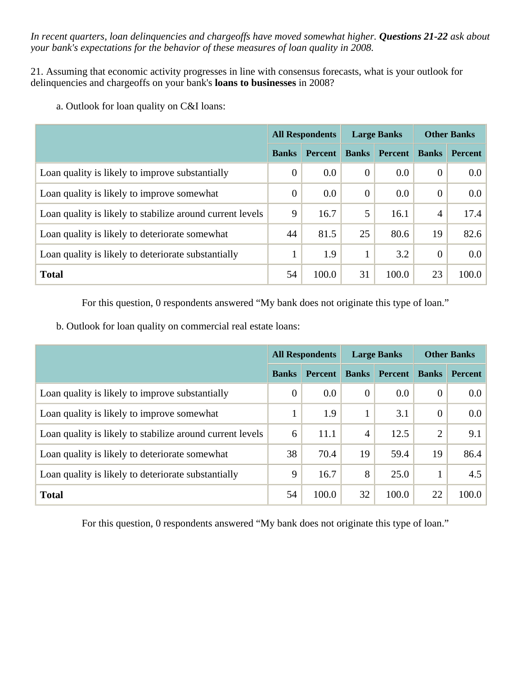*In recent quarters, loan delinquencies and chargeoffs have moved somewhat higher. Questions 21-22 ask about your bank's expectations for the behavior of these measures of loan quality in 2008.* 

21. Assuming that economic activity progresses in line with consensus forecasts, what is your outlook for delinquencies and chargeoffs on your bank's **loans to businesses** in 2008?

a. Outlook for loan quality on C&I loans:

|                                                           | <b>All Respondents</b> |                | <b>Large Banks</b> |                | <b>Other Banks</b> |                |
|-----------------------------------------------------------|------------------------|----------------|--------------------|----------------|--------------------|----------------|
|                                                           | <b>Banks</b>           | <b>Percent</b> | <b>Banks</b>       | <b>Percent</b> | <b>Banks</b>       | <b>Percent</b> |
| Loan quality is likely to improve substantially           | $\overline{0}$         | 0.0            | $\overline{0}$     | 0.0            | $\overline{0}$     | $0.0\,$        |
| Loan quality is likely to improve somewhat                | $\overline{0}$         | 0.0            | $\theta$           | 0.0            | $\theta$           | $0.0\,$        |
| Loan quality is likely to stabilize around current levels | 9                      | 16.7           | 5                  | 16.1           | $\overline{4}$     | 17.4           |
| Loan quality is likely to deteriorate somewhat            | 44                     | 81.5           | 25                 | 80.6           | 19                 | 82.6           |
| Loan quality is likely to deteriorate substantially       |                        | 1.9            |                    | 3.2            | $\theta$           | $0.0\,$        |
| <b>Total</b>                                              | 54                     | 100.0          | 31                 | 100.0          | 23                 | 100.0          |

For this question, 0 respondents answered "My bank does not originate this type of loan."

b. Outlook for loan quality on commercial real estate loans:

|                                                           | <b>All Respondents</b> |                | <b>Large Banks</b> |                | <b>Other Banks</b> |                |
|-----------------------------------------------------------|------------------------|----------------|--------------------|----------------|--------------------|----------------|
|                                                           | <b>Banks</b>           | <b>Percent</b> | <b>Banks</b>       | <b>Percent</b> | <b>Banks</b>       | <b>Percent</b> |
| Loan quality is likely to improve substantially           | $\theta$               | 0.0            | $\theta$           | 0.0            | $\mathbf{0}$       | 0.0            |
| Loan quality is likely to improve somewhat                |                        | 1.9            |                    | 3.1            | $\overline{0}$     | 0.0            |
| Loan quality is likely to stabilize around current levels | 6                      | 11.1           | 4                  | 12.5           | $\overline{2}$     | 9.1            |
| Loan quality is likely to deteriorate somewhat            | 38                     | 70.4           | 19                 | 59.4           | 19                 | 86.4           |
| Loan quality is likely to deteriorate substantially       | 9                      | 16.7           | 8                  | 25.0           |                    | 4.5            |
| <b>Total</b>                                              | 54                     | 100.0          | 32                 | 100.0          | 22                 | 100.0          |

For this question, 0 respondents answered "My bank does not originate this type of loan."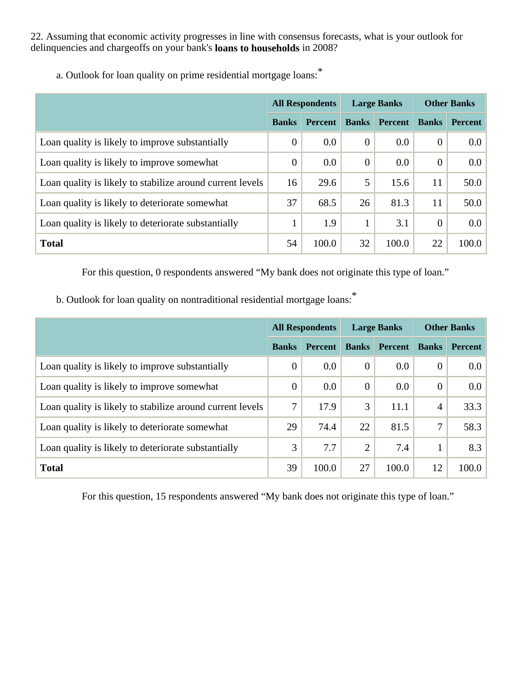22. Assuming that economic activity progresses in line with consensus forecasts, what is your outlook for delinquencies and chargeoffs on your bank's **loans to households** in 2008?

|                                                           | <b>All Respondents</b> |                | <b>Large Banks</b> |                | <b>Other Banks</b> |                |
|-----------------------------------------------------------|------------------------|----------------|--------------------|----------------|--------------------|----------------|
|                                                           | <b>Banks</b>           | <b>Percent</b> | <b>Banks</b>       | <b>Percent</b> | <b>Banks</b>       | <b>Percent</b> |
| Loan quality is likely to improve substantially           | $\overline{0}$         | 0.0            | $\theta$           | 0.0            | $\overline{0}$     | 0.0            |
| Loan quality is likely to improve somewhat                | $\overline{0}$         | 0.0            | $\theta$           | 0.0            | $\overline{0}$     | 0.0            |
| Loan quality is likely to stabilize around current levels | 16                     | 29.6           | 5                  | 15.6           | 11                 | 50.0           |
| Loan quality is likely to deteriorate somewhat            | 37                     | 68.5           | 26                 | 81.3           | 11                 | 50.0           |
| Loan quality is likely to deteriorate substantially       |                        | 1.9            |                    | 3.1            | $\theta$           | 0.0            |
| <b>Total</b>                                              | 54                     | 100.0          | 32                 | 100.0          | 22                 | 100.0          |

a. Outlook for loan quality on prime residential mortgage loans:\*

For this question, 0 respondents answered "My bank does not originate this type of loan."

b. Outlook for loan quality on nontraditional residential mortgage loans:\*

|                                                           | <b>All Respondents</b> |                | <b>Large Banks</b> |                | <b>Other Banks</b> |                  |
|-----------------------------------------------------------|------------------------|----------------|--------------------|----------------|--------------------|------------------|
|                                                           | <b>Banks</b>           | <b>Percent</b> | <b>Banks</b>       | <b>Percent</b> | <b>Banks</b>       | <b>Percent</b>   |
| Loan quality is likely to improve substantially           | $\overline{0}$         | 0.0            | $\theta$           | 0.0            | $\overline{0}$     | 0.0 <sub>1</sub> |
| Loan quality is likely to improve somewhat                | $\Omega$               | 0.0            | $\theta$           | 0.0            | $\theta$           | $0.0\,$          |
| Loan quality is likely to stabilize around current levels | 7                      | 17.9           | 3                  | 11.1           | $\overline{4}$     | 33.3             |
| Loan quality is likely to deteriorate somewhat            | 29                     | 74.4           | 22                 | 81.5           | 7                  | 58.3             |
| Loan quality is likely to deteriorate substantially       | 3                      | 7.7            | $\overline{2}$     | 7.4            | 1                  | 8.3              |
| <b>Total</b>                                              | 39                     | 100.0          | 27                 | 100.0          | 12                 | 100.0            |

For this question, 15 respondents answered "My bank does not originate this type of loan."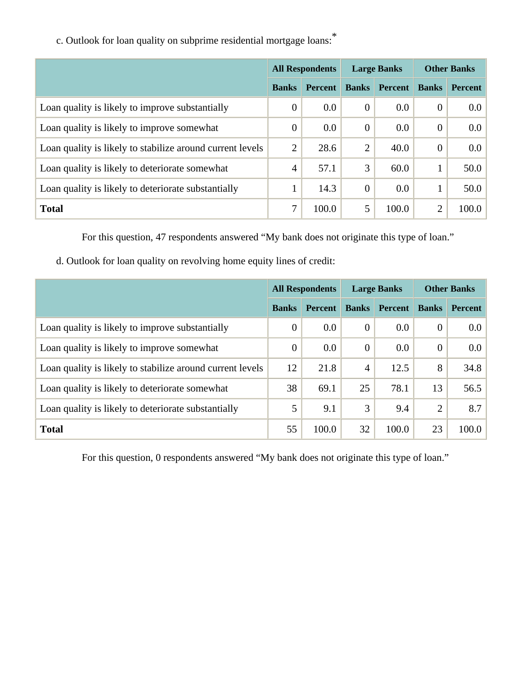|                                                           | <b>All Respondents</b> |                | <b>Large Banks</b> |         | <b>Other Banks</b> |                |
|-----------------------------------------------------------|------------------------|----------------|--------------------|---------|--------------------|----------------|
|                                                           | <b>Banks</b>           | <b>Percent</b> | <b>Banks</b>       | Percent | <b>Banks</b>       | <b>Percent</b> |
| Loan quality is likely to improve substantially           | $\overline{0}$         | 0.0            | $\overline{0}$     | $0.0\,$ | $\theta$           | 0.0            |
| Loan quality is likely to improve somewhat                | $\overline{0}$         | 0.0            | $\overline{0}$     | 0.0     | $\theta$           | 0.0            |
| Loan quality is likely to stabilize around current levels | $\overline{2}$         | 28.6           | 2                  | 40.0    | $\theta$           | 0.0            |
| Loan quality is likely to deteriorate somewhat            | $\overline{4}$         | 57.1           | 3                  | 60.0    |                    | 50.0           |
| Loan quality is likely to deteriorate substantially       |                        | 14.3           | $\overline{0}$     | 0.0     |                    | 50.0           |
| <b>Total</b>                                              | 7                      | 100.0          | 5                  | 100.0   | $\overline{2}$     | 100.0          |

c. Outlook for loan quality on subprime residential mortgage loans:\*

For this question, 47 respondents answered "My bank does not originate this type of loan."

d. Outlook for loan quality on revolving home equity lines of credit:

|                                                           | <b>All Respondents</b> |                | <b>Large Banks</b> |                | <b>Other Banks</b> |                |
|-----------------------------------------------------------|------------------------|----------------|--------------------|----------------|--------------------|----------------|
|                                                           | <b>Banks</b>           | <b>Percent</b> | <b>Banks</b>       | <b>Percent</b> | <b>Banks</b>       | <b>Percent</b> |
| Loan quality is likely to improve substantially           | $\overline{0}$         | 0.0            | $\theta$           | 0.0            | $\theta$           | 0.0            |
| Loan quality is likely to improve somewhat                | $\overline{0}$         | 0.0            | $\theta$           | 0.0            | $\theta$           | 0.0            |
| Loan quality is likely to stabilize around current levels | 12                     | 21.8           | $\overline{4}$     | 12.5           | 8                  | 34.8           |
| Loan quality is likely to deteriorate somewhat            | 38                     | 69.1           | 25                 | 78.1           | 13                 | 56.5           |
| Loan quality is likely to deteriorate substantially       | 5                      | 9.1            | 3                  | 9.4            | $\overline{2}$     | 8.7            |
| <b>Total</b>                                              | 55                     | 100.0          | 32                 | 100.0          | 23                 | 100.0          |

For this question, 0 respondents answered "My bank does not originate this type of loan."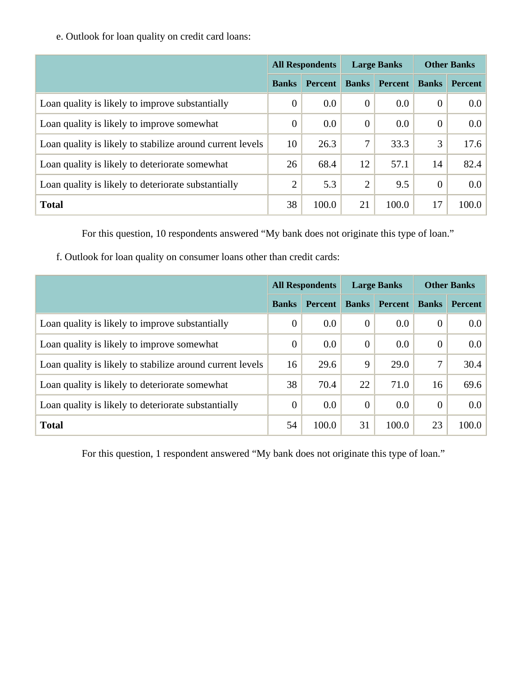e. Outlook for loan quality on credit card loans:

|                                                           | <b>All Respondents</b> |                |              | <b>Large Banks</b> | <b>Other Banks</b> |                  |
|-----------------------------------------------------------|------------------------|----------------|--------------|--------------------|--------------------|------------------|
|                                                           | <b>Banks</b>           | <b>Percent</b> | <b>Banks</b> | <b>Percent</b>     | <b>Banks</b>       | <b>Percent</b>   |
| Loan quality is likely to improve substantially           | $\overline{0}$         | 0.0            | $\theta$     | 0.0                | $\overline{0}$     | 0.0 <sub>1</sub> |
| Loan quality is likely to improve somewhat                | $\overline{0}$         | 0.0            | $\theta$     | 0.0                | $\overline{0}$     | $0.0\,$          |
| Loan quality is likely to stabilize around current levels | 10                     | 26.3           | 7            | 33.3               | 3                  | 17.6             |
| Loan quality is likely to deteriorate somewhat            | 26                     | 68.4           | 12           | 57.1               | 14                 | 82.4             |
| Loan quality is likely to deteriorate substantially       | $\overline{2}$         | 5.3            | 2            | 9.5                | $\overline{0}$     | $0.0\,$          |
| <b>Total</b>                                              | 38                     | 100.0          | 21           | 100.0              | 17                 | 100.0            |

For this question, 10 respondents answered "My bank does not originate this type of loan."

f. Outlook for loan quality on consumer loans other than credit cards:

|                                                           | <b>All Respondents</b> |                | <b>Large Banks</b> |                | <b>Other Banks</b> |                  |
|-----------------------------------------------------------|------------------------|----------------|--------------------|----------------|--------------------|------------------|
|                                                           | <b>Banks</b>           | <b>Percent</b> | <b>Banks</b>       | <b>Percent</b> | <b>Banks</b>       | <b>Percent</b>   |
| Loan quality is likely to improve substantially           | $\overline{0}$         | 0.0            | $\theta$           | 0.0            | $\overline{0}$     | 0.0 <sub>1</sub> |
| Loan quality is likely to improve somewhat                | $\overline{0}$         | 0.0            | $\theta$           | 0.0            | $\theta$           | $0.0\,$          |
| Loan quality is likely to stabilize around current levels | 16                     | 29.6           | 9                  | 29.0           | 7                  | 30.4             |
| Loan quality is likely to deteriorate somewhat            | 38                     | 70.4           | 22                 | 71.0           | 16                 | 69.6             |
| Loan quality is likely to deteriorate substantially       | $\overline{0}$         | 0.0            | $\theta$           | 0.0            | $\overline{0}$     | $0.0\,$          |
| <b>Total</b>                                              | 54                     | 100.0          | 31                 | 100.0          | 23                 | 100.0            |

For this question, 1 respondent answered "My bank does not originate this type of loan."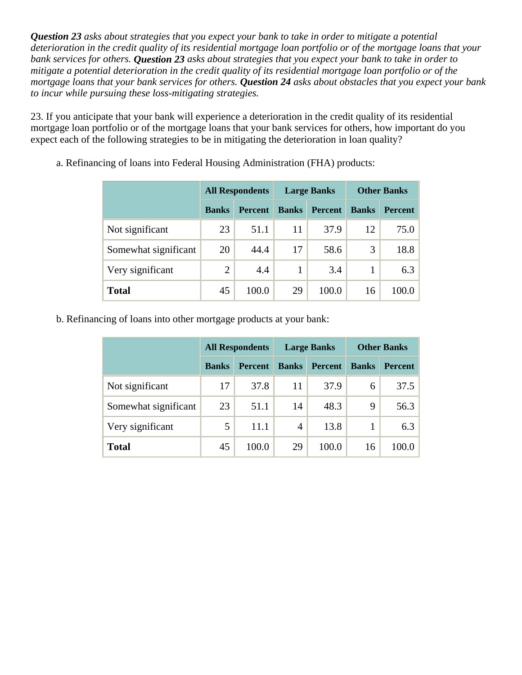*Question 23 asks about strategies that you expect your bank to take in order to mitigate a potential deterioration in the credit quality of its residential mortgage loan portfolio or of the mortgage loans that your bank services for others. Question 23 asks about strategies that you expect your bank to take in order to mitigate a potential deterioration in the credit quality of its residential mortgage loan portfolio or of the mortgage loans that your bank services for others. Question 24 asks about obstacles that you expect your bank to incur while pursuing these loss-mitigating strategies.* 

23. If you anticipate that your bank will experience a deterioration in the credit quality of its residential mortgage loan portfolio or of the mortgage loans that your bank services for others, how important do you expect each of the following strategies to be in mitigating the deterioration in loan quality?

|                      | <b>All Respondents</b> |                |              | <b>Large Banks</b> | <b>Other Banks</b> |                |  |
|----------------------|------------------------|----------------|--------------|--------------------|--------------------|----------------|--|
|                      | <b>Banks</b>           | <b>Percent</b> | <b>Banks</b> | <b>Percent</b>     | <b>Banks</b>       | <b>Percent</b> |  |
| Not significant      | 23                     | 51.1           | 11           | 37.9               | 12                 | 75.0           |  |
| Somewhat significant | 20                     | 44.4           | 17           | 58.6               | 3                  | 18.8           |  |
| Very significant     | $\overline{2}$         | 4.4            |              | 3.4                |                    | 6.3            |  |
| <b>Total</b>         | 45                     | 100.0          | 29           | 100.0              | 16                 | 100.0          |  |

a. Refinancing of loans into Federal Housing Administration (FHA) products:

b. Refinancing of loans into other mortgage products at your bank:

|                      | <b>All Respondents</b> |                |              | <b>Large Banks</b> |              | <b>Other Banks</b> |  |
|----------------------|------------------------|----------------|--------------|--------------------|--------------|--------------------|--|
|                      | <b>Banks</b>           | <b>Percent</b> | <b>Banks</b> | <b>Percent</b>     | <b>Banks</b> | <b>Percent</b>     |  |
| Not significant      | 17                     | 37.8           | 11           | 37.9               | 6            | 37.5               |  |
| Somewhat significant | 23                     | 51.1           | 14           | 48.3               | 9            | 56.3               |  |
| Very significant     | 5                      | 11.1           | 4            | 13.8               |              | 6.3                |  |
| <b>Total</b>         | 45                     | 100.0          | 29           | 100.0              | 16           | 100.0              |  |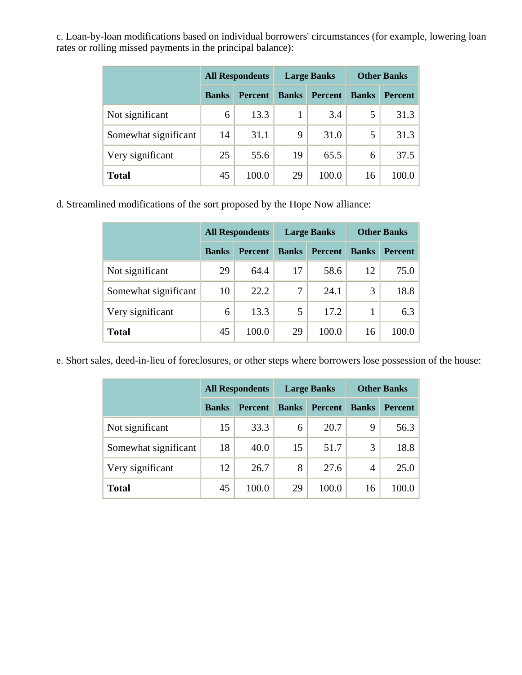c. Loan-by-loan modifications based on individual borrowers' circumstances (for example, lowering loan rates or rolling missed payments in the principal balance):

|                      | <b>All Respondents</b> |                |              | <b>Large Banks</b> |              | <b>Other Banks</b> |  |
|----------------------|------------------------|----------------|--------------|--------------------|--------------|--------------------|--|
|                      | <b>Banks</b>           | <b>Percent</b> | <b>Banks</b> | <b>Percent</b>     | <b>Banks</b> | <b>Percent</b>     |  |
| Not significant      | 6                      | 13.3           |              | 3.4                | 5            | 31.3               |  |
| Somewhat significant | 14                     | 31.1           | 9            | 31.0               | 5            | 31.3               |  |
| Very significant     | 25                     | 55.6           | 19           | 65.5               | 6            | 37.5               |  |
| <b>Total</b>         | 45                     | 100.0          | 29           | 100.0              | 16           | 100.0              |  |

d. Streamlined modifications of the sort proposed by the Hope Now alliance:

|                      | <b>All Respondents</b> |                |              | <b>Large Banks</b> | <b>Other Banks</b> |                |
|----------------------|------------------------|----------------|--------------|--------------------|--------------------|----------------|
|                      | <b>Banks</b>           | <b>Percent</b> | <b>Banks</b> | <b>Percent</b>     | <b>Banks</b>       | <b>Percent</b> |
| Not significant      | 29                     | 64.4           | 17           | 58.6               | 12                 | 75.0           |
| Somewhat significant | 10                     | 22.2           | 7            | 24.1               | 3                  | 18.8           |
| Very significant     | 6                      | 13.3           | 5            | 17.2               |                    | 6.3            |
| <b>Total</b>         | 45                     | 100.0          | 29           | 100.0              | 16                 | 100.0          |

e. Short sales, deed-in-lieu of foreclosures, or other steps where borrowers lose possession of the house:

|                      | <b>All Respondents</b> |                |              | <b>Large Banks</b> |              | <b>Other Banks</b> |  |
|----------------------|------------------------|----------------|--------------|--------------------|--------------|--------------------|--|
|                      | <b>Banks</b>           | <b>Percent</b> | <b>Banks</b> | <b>Percent</b>     | <b>Banks</b> | <b>Percent</b>     |  |
| Not significant      | 15                     | 33.3           | 6            | 20.7               | 9            | 56.3               |  |
| Somewhat significant | 18                     | 40.0           | 15           | 51.7               | 3            | 18.8               |  |
| Very significant     | 12                     | 26.7           | 8            | 27.6               | 4            | 25.0               |  |
| <b>Total</b>         | 45                     | 100.0          | 29           | 100.0              | 16           | 100.0              |  |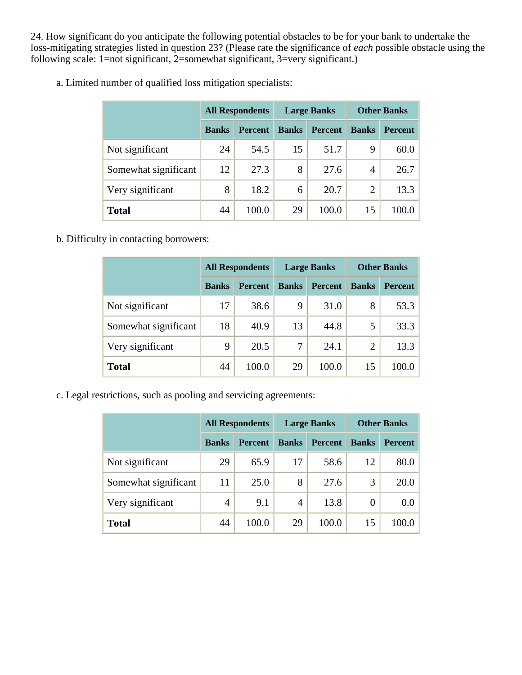24. How significant do you anticipate the following potential obstacles to be for your bank to undertake the loss-mitigating strategies listed in question 23? (Please rate the significance of *each* possible obstacle using the following scale: 1=not significant, 2=somewhat significant, 3=very significant.)

|                      | <b>All Respondents</b> |                |              | <b>Large Banks</b> | <b>Other Banks</b> |                |
|----------------------|------------------------|----------------|--------------|--------------------|--------------------|----------------|
|                      | <b>Banks</b>           | <b>Percent</b> | <b>Banks</b> | <b>Percent</b>     | <b>Banks</b>       | <b>Percent</b> |
| Not significant      | 24                     | 54.5           | 15           | 51.7               | 9                  | 60.0           |
| Somewhat significant | 12                     | 27.3           | 8            | 27.6               | 4                  | 26.7           |
| Very significant     | 8                      | 18.2           | 6            | 20.7               | $\overline{2}$     | 13.3           |
| <b>Total</b>         | 44                     | 100.0          | 29           | 100.0              | 15                 | 100.0          |

a. Limited number of qualified loss mitigation specialists:

b. Difficulty in contacting borrowers:

|                      | <b>All Respondents</b> |                |              | <b>Large Banks</b> | <b>Other Banks</b> |                |
|----------------------|------------------------|----------------|--------------|--------------------|--------------------|----------------|
|                      | <b>Banks</b>           | <b>Percent</b> | <b>Banks</b> | Percent            | <b>Banks</b>       | <b>Percent</b> |
| Not significant      | 17                     | 38.6           | 9            | 31.0               | 8                  | 53.3           |
| Somewhat significant | 18                     | 40.9           | 13           | 44.8               | 5                  | 33.3           |
| Very significant     | 9                      | 20.5           | 7            | 24.1               | 2                  | 13.3           |
| <b>Total</b>         | 44                     | 100.0          | 29           | 100.0              | 15                 | 100.0          |

c. Legal restrictions, such as pooling and servicing agreements:

|                      |              | <b>All Respondents</b> | <b>Large Banks</b> |                | <b>Other Banks</b> |                |
|----------------------|--------------|------------------------|--------------------|----------------|--------------------|----------------|
|                      | <b>Banks</b> | <b>Percent</b>         | <b>Banks</b>       | <b>Percent</b> | <b>Banks</b>       | <b>Percent</b> |
| Not significant      | 29           | 65.9                   | 17                 | 58.6           | 12                 | 80.0           |
| Somewhat significant | 11           | 25.0                   | 8                  | 27.6           | 3                  | 20.0           |
| Very significant     | 4            | 9.1                    | 4                  | 13.8           | $\Omega$           | 0.0            |
| <b>Total</b>         | 44           | 100.0                  | 29                 | 100.0          | 15                 | 100.0          |